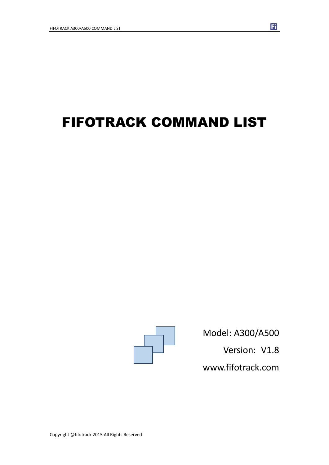# FIFOTRACK COMMAND LIST



Model: A300/A500 Version: V1.8

Fi

www.fifotrack.com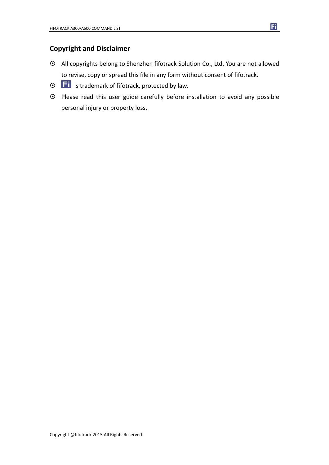#### **Copyright and Disclaimer**

- All copyrights belong to Shenzhen fifotrack Solution Co., Ltd. You are not allowed to revise, copy or spread this file in any form without consent of fifotrack.
- $\odot$   $\Box$  is trademark of fifotrack, protected by law.
- Please read this user guide carefully before installation to avoid any possible personal injury or property loss.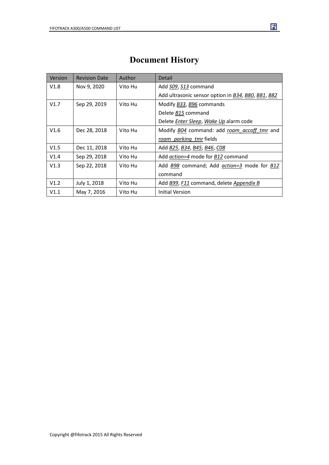| Version | <b>Revision Date</b> | Author  | Detail                                                             |
|---------|----------------------|---------|--------------------------------------------------------------------|
| V1.8    | Nov 9, 2020          | Vito Hu | Add S09, S13 command                                               |
|         |                      |         | Add ultrasonic sensor option in B34, B80, B81, B82                 |
| V1.7    | Sep 29, 2019         | Vito Hu | Modify <b>B33</b> , <b>B96</b> commands                            |
|         |                      |         | Delete B15 command                                                 |
|         |                      |         | Delete Enter Sleep, Wake Up alarm code                             |
| V1.6    | Dec 28, 2018         | Vito Hu | Modify B04 command: add roam accoff tmr and                        |
|         |                      |         | roam parking tmr fields                                            |
| V1.5    | Dec 11, 2018         | Vito Hu | Add <b>B25</b> , <b>B34</b> , <b>B45</b> , <b>B46</b> , <b>C08</b> |
| V1.4    | Sep 29, 2018         | Vito Hu | Add action=4 mode for B12 command                                  |
| V1.3    | Sep 22, 2018         | Vito Hu | Add B98 command; Add action=3 mode for B12                         |
|         |                      |         | command                                                            |
| V1.2    | July 1, 2018         | Vito Hu | Add B99, F11 command, delete Appendix B                            |
| V1.1    | May 7, 2016          | Vito Hu | Initial Version                                                    |

### **Document History**

 $\mathbf{E}$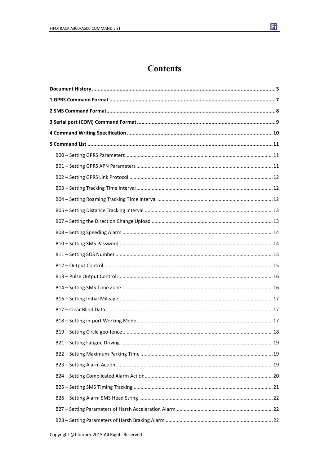

 $\mathbf{E}$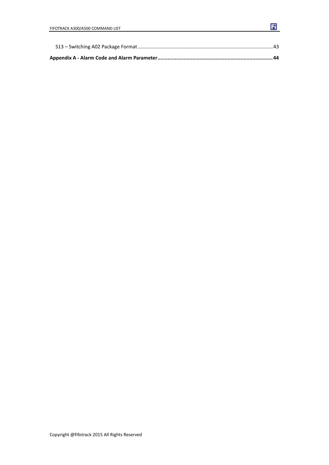$\mathbf{F}$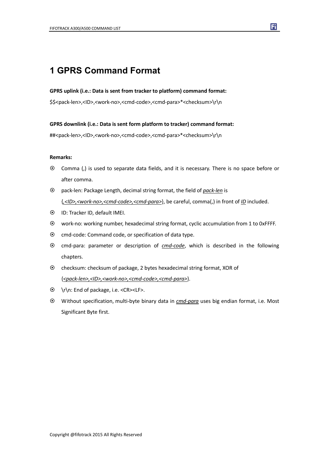#### **1 GPRS Command Format**

#### **GPRS uplink (i.e.: Data is sent from tracker to platform) command format:**

\$\$<pack-len>,<ID>,<work-no>,<cmd-code>,<cmd-para>\*<checksum>\r\n

**GPRS downlink (i.e.: Data is sent form platform to tracker) command format:**

##<pack-len>,<ID>,<work-no>,<cmd-code>,<cmd-para>\*<checksum>\r\n

#### **Remarks:**

 Comma (,) is used to separate data fields, and it is necessary. There is no space before or after comma.

Fi

- pack-len: Package Length, decimal string format, the field of *pack-len* is {*,<ID>,<work-no>,<cmd-code>,<cmd-para>*}, be careful, comma(,) in front of *ID* included.
- ID: Tracker ID, default IMEI.
- work-no: working number, hexadecimal string format, cyclic accumulation from 1 to 0xFFFF.
- $\odot$  cmd-code: Command code, or specification of data type.
- cmd-para: parameter or description of *cmd-code*, which is described in the following chapters.
- checksum: checksum of package, 2 bytes hexadecimal string format, XOR of {*<pack-len>,<ID>,<work-no>,<cmd-code>,<cmd-para>*}.
- \r\n: End of package, i.e. <CR><LF>.
- Without specification, multi-byte binary data in *cmd-para* uses big endian format, i.e. Most Significant Byte first.

Copyright @fifotrack 2015 All Rights Reserved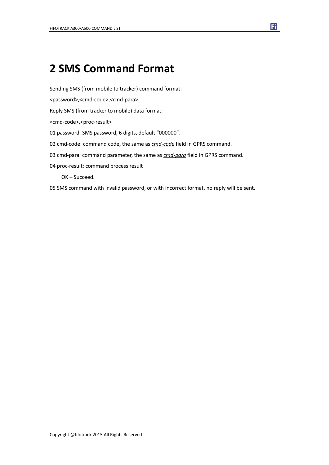## **2 SMS Command Format**

Sending SMS (from mobile to tracker) command format:

<password>,<cmd-code>,<cmd-para>

Reply SMS (from tracker to mobile) data format:

<cmd-code>,<proc-result>

01 password: SMS password, 6 digits, default "000000".

02 cmd-code: command code, the same as *cmd-code* field in GPRS command.

03 cmd-para: command parameter, the same as *cmd-para* field in GPRS command.

04 proc-result: command process result

OK – Succeed.

05 SMS command with invalid password, or with incorrect format, no reply will be sent.

Fi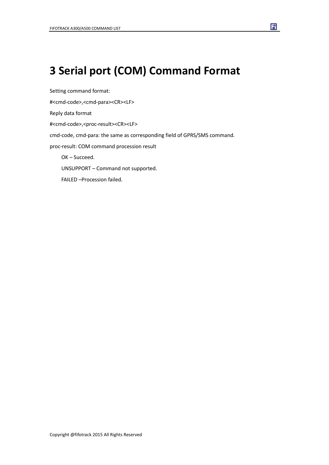# **3 Serial port (COM) Command Format**

Setting command format: #<cmd-code>,<cmd-para><CR><LF> Reply data format #<cmd-code>,<proc-result><CR><LF> cmd-code, cmd-para: the same as corresponding field of GPRS/SMS command. proc-result: COM command procession result OK – Succeed. UNSUPPORT – Command not supported. FAILED –Procession failed.

Fi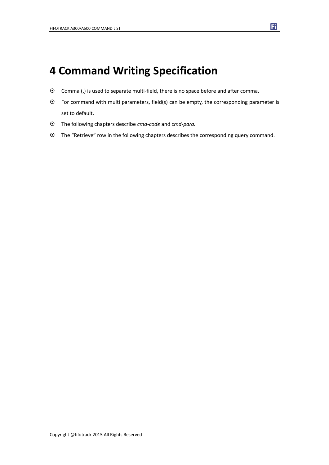## **4 Command Writing Specification**

- Comma (,) is used to separate multi-field, there is no space before and after comma.
- For command with multi parameters, field(s) can be empty, the corresponding parameter is set to default.
- The following chapters describe *cmd-code* and *cmd-para.*
- The "Retrieve" row in the following chapters describes the corresponding query command.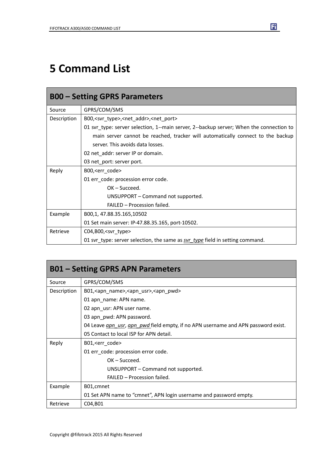# **5 Command List**

|             | <b>B00 - Setting GPRS Parameters</b>                                                    |
|-------------|-----------------------------------------------------------------------------------------|
| Source      | GPRS/COM/SMS                                                                            |
| Description | B00, <svr_type>,<net_addr>,<net_port></net_port></net_addr></svr_type>                  |
|             | 01 svr_type: server selection, 1--main server, 2--backup server; When the connection to |
|             | main server cannot be reached, tracker will automatically connect to the backup         |
|             | server. This avoids data losses.                                                        |
|             | 02 net_addr: server IP or domain.                                                       |
|             | 03 net_port: server port.                                                               |
| Reply       | B00, <err code=""></err>                                                                |
|             | 01 err_code: procession error code.                                                     |
|             | $OK - Succeed.$                                                                         |
|             | UNSUPPORT – Command not supported.                                                      |
|             | FAILED - Procession failed.                                                             |
| Example     | B00,1, 47.88.35.165,10502                                                               |
|             | 01 Set main server: IP-47.88.35.165, port-10502.                                        |
| Retrieve    | $CO4, B00,$ <svr type=""></svr>                                                         |
|             | 01 svr_type: server selection, the same as svr_type field in setting command.           |

|             | <b>B01 – Setting GPRS APN Parameters</b>                                                 |
|-------------|------------------------------------------------------------------------------------------|
| Source      | GPRS/COM/SMS                                                                             |
| Description | B01, <apn_name>,<apn_usr>,<apn_pwd></apn_pwd></apn_usr></apn_name>                       |
|             | 01 apn name: APN name.                                                                   |
|             | 02 apn_usr: APN user name.                                                               |
|             | 03 apn pwd: APN password.                                                                |
|             | 04 Leave <i>apn usr, apn pwd</i> field empty, if no APN username and APN password exist. |
|             | 05 Contact to local ISP for APN detail.                                                  |
| Reply       | B01, <err code=""></err>                                                                 |
|             | 01 err_code: procession error code.                                                      |
|             | $OK - Succeed.$                                                                          |
|             | UNSUPPORT - Command not supported.                                                       |
|             | FAILED - Procession failed.                                                              |
| Example     | B01, cmnet                                                                               |
|             | 01 Set APN name to "cmnet", APN login username and password empty.                       |
| Retrieve    | C04, B01                                                                                 |

固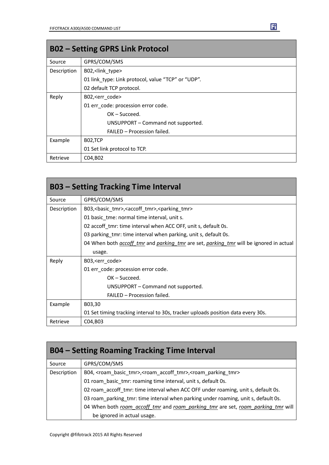|             | <b>B02 - Setting GPRS Link Protocol</b>            |
|-------------|----------------------------------------------------|
| Source      | GPRS/COM/SMS                                       |
| Description | B02, <link type=""/>                               |
|             | 01 link type: Link protocol, value "TCP" or "UDP". |
|             | 02 default TCP protocol.                           |
| Reply       | B02, <err code=""></err>                           |
|             | 01 err code: procession error code.                |
|             | $OK - Succeed.$                                    |
|             | UNSUPPORT - Command not supported.                 |
|             | FAILED - Procession failed.                        |
| Example     | B02,TCP                                            |
|             | 01 Set link protocol to TCP.                       |
| Retrieve    | C04, B02                                           |

|             | <b>B03 – Setting Tracking Time Interval</b>                                                                 |
|-------------|-------------------------------------------------------------------------------------------------------------|
| Source      | GPRS/COM/SMS                                                                                                |
| Description | B03, < basic_tmr>, < accoff_tmr>, < parking_tmr>                                                            |
|             | 01 basic tme: normal time interval, unit s.                                                                 |
|             | 02 accoff tmr: time interval when ACC OFF, unit s, default 0s.                                              |
|             | 03 parking tmr: time interval when parking, unit s, default 0s.                                             |
|             | 04 When both <i>accoff tmr</i> and <i>parking tmr</i> are set, <i>parking tmr</i> will be ignored in actual |
|             | usage.                                                                                                      |
| Reply       | B03, <err code=""></err>                                                                                    |
|             | 01 err code: procession error code.                                                                         |
|             | $OK - Succeed.$                                                                                             |
|             | UNSUPPORT – Command not supported.                                                                          |
|             | FAILED - Procession failed.                                                                                 |
| Example     | B03,30                                                                                                      |
|             | 01 Set timing tracking interval to 30s, tracker uploads position data every 30s.                            |
| Retrieve    | C04, B03                                                                                                    |

| <b>B04 – Setting Roaming Tracking Time Interval</b> |                                                                                                                  |  |
|-----------------------------------------------------|------------------------------------------------------------------------------------------------------------------|--|
| Source                                              | GPRS/COM/SMS                                                                                                     |  |
| Description                                         | B04, <roam_basic_tmr>,<roam_accoff_tmr>,<roam_parking_tmr></roam_parking_tmr></roam_accoff_tmr></roam_basic_tmr> |  |
|                                                     | 01 roam_basic_tmr: roaming time interval, unit s, default 0s.                                                    |  |
|                                                     | 02 roam accoff tmr: time interval when ACC OFF under roaming, unit s, default 0s.                                |  |
|                                                     | 03 roam_parking_tmr: time interval when parking under roaming, unit s, default 0s.                               |  |
|                                                     | 04 When both roam accoff tmr and roam parking tmr are set, roam parking tmr will                                 |  |
|                                                     | be ignored in actual usage.                                                                                      |  |

Ei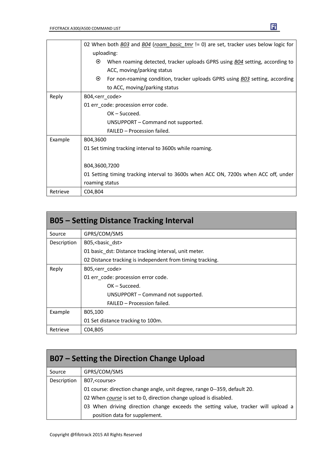|          | 02 When both <b>BO3</b> and BO4 (roam basic tmr != 0) are set, tracker uses below logic for    |
|----------|------------------------------------------------------------------------------------------------|
|          | uploading:                                                                                     |
|          | $\odot$<br>When roaming detected, tracker uploads GPRS using <b>BO4</b> setting, according to  |
|          | ACC, moving/parking status                                                                     |
|          | $\odot$<br>For non-roaming condition, tracker uploads GPRS using <b>BO3</b> setting, according |
|          | to ACC, moving/parking status                                                                  |
| Reply    | B04, <err_code></err_code>                                                                     |
|          | 01 err_code: procession error code.                                                            |
|          | $OK - Succeed.$                                                                                |
|          | UNSUPPORT - Command not supported.                                                             |
|          | FAILED - Procession failed.                                                                    |
| Example  | B04,3600                                                                                       |
|          | 01 Set timing tracking interval to 3600s while roaming.                                        |
|          |                                                                                                |
|          | B04,3600,7200                                                                                  |
|          | 01 Setting timing tracking interval to 3600s when ACC ON, 7200s when ACC off, under            |
|          | roaming status                                                                                 |
| Retrieve | C04, B04                                                                                       |

| <b>B05 – Setting Distance Tracking Interval</b> |                                                           |  |
|-------------------------------------------------|-----------------------------------------------------------|--|
| Source                                          | GPRS/COM/SMS                                              |  |
| Description                                     | B05, < basic dst>                                         |  |
|                                                 | 01 basic dst: Distance tracking interval, unit meter.     |  |
|                                                 | 02 Distance tracking is independent from timing tracking. |  |
| Reply                                           | B05, <err code=""></err>                                  |  |
|                                                 | 01 err code: procession error code.                       |  |
|                                                 | $OK - Succed.$                                            |  |
|                                                 | UNSUPPORT – Command not supported.                        |  |
|                                                 | FAILED - Procession failed.                               |  |
| Example                                         | B05,100                                                   |  |
|                                                 | 01 Set distance tracking to 100m.                         |  |
| Retrieve                                        | C04, B05                                                  |  |

| <b>B07 – Setting the Direction Change Upload</b> |                                                                                   |  |
|--------------------------------------------------|-----------------------------------------------------------------------------------|--|
| Source                                           | GPRS/COM/SMS                                                                      |  |
| Description                                      | B07, <course></course>                                                            |  |
|                                                  | 01 course: direction change angle, unit degree, range 0--359, default 20.         |  |
|                                                  | 02 When course is set to 0, direction change upload is disabled.                  |  |
|                                                  | 03 When driving direction change exceeds the setting value, tracker will upload a |  |
|                                                  | position data for supplement.                                                     |  |

Copyright @fifotrack 2015 All Rights Reserved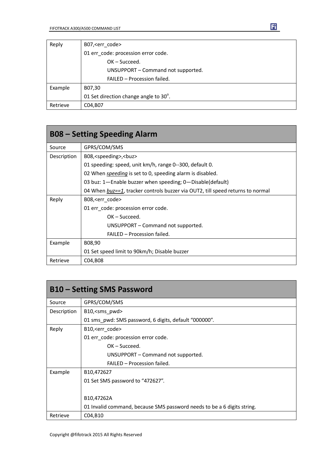| Reply    | B07, <err code=""></err>              |
|----------|---------------------------------------|
|          | 01 err_code: procession error code.   |
|          | $OK - Succeed.$                       |
|          | UNSUPPORT - Command not supported.    |
|          | FAILED - Procession failed.           |
| Example  | B07,30                                |
|          | 01 Set direction change angle to 30°. |
| Retrieve | C04, B07                              |

| <b>B08 - Setting Speeding Alarm</b> |                                                                                |
|-------------------------------------|--------------------------------------------------------------------------------|
| Source                              | GPRS/COM/SMS                                                                   |
| Description                         | B08, <speeding>,<br/>buz&gt;</speeding>                                        |
|                                     | 01 speeding: speed, unit km/h, range 0--300, default 0.                        |
|                                     | 02 When <i>speeding</i> is set to 0, speeding alarm is disabled.               |
|                                     | 03 buz: 1-Enable buzzer when speeding; 0-Disable(default)                      |
|                                     | 04 When buz==1, tracker controls buzzer via OUT2, till speed returns to normal |
| Reply                               | B08, <err code=""></err>                                                       |
|                                     | 01 err_code: procession error code.                                            |
|                                     | $OK - Succeed.$                                                                |
|                                     | UNSUPPORT – Command not supported.                                             |
|                                     | FAILED - Procession failed.                                                    |
| Example                             | B08,90                                                                         |
|                                     | 01 Set speed limit to 90km/h; Disable buzzer                                   |
| Retrieve                            | C04, B08                                                                       |

|             | <b>B10 - Setting SMS Password</b>                                       |
|-------------|-------------------------------------------------------------------------|
| Source      | GPRS/COM/SMS                                                            |
| Description | B10, <sms pwd=""></sms>                                                 |
|             | 01 sms_pwd: SMS password, 6 digits, default "000000".                   |
| Reply       | B10, <err_code></err_code>                                              |
|             | 01 err_code: procession error code.                                     |
|             | $OK - Succeed.$                                                         |
|             | UNSUPPORT – Command not supported.                                      |
|             | FAILED - Procession failed.                                             |
| Example     | B <sub>10</sub> ,472627                                                 |
|             | 01 Set SMS password to "472627".                                        |
|             |                                                                         |
|             | B10,47262A                                                              |
|             | 01 Invalid command, because SMS password needs to be a 6 digits string. |
| Retrieve    | C04,B10                                                                 |

Ei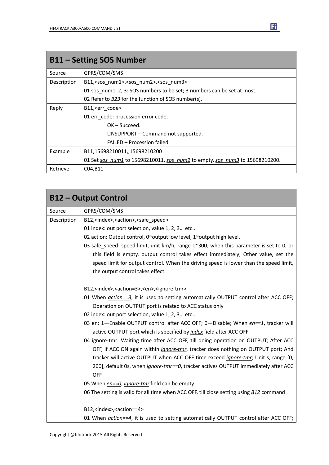| <b>B11 - Setting SOS Number</b> |                                                                             |
|---------------------------------|-----------------------------------------------------------------------------|
| Source                          | GPRS/COM/SMS                                                                |
| Description                     | B11, <sos num1="">,<sos num2="">,<sos num3=""></sos></sos></sos>            |
|                                 | 01 sos_num1, 2, 3: SOS numbers to be set; 3 numbers can be set at most.     |
|                                 | 02 Refer to B23 for the function of SOS number(s).                          |
| Reply                           | B11, <err code=""></err>                                                    |
|                                 | 01 err code: procession error code.                                         |
|                                 | $OK - Succeed.$                                                             |
|                                 | UNSUPPORT - Command not supported.                                          |
|                                 | FAILED - Procession failed.                                                 |
| Example                         | B11,15698210011,,15698210200                                                |
|                                 | 01 Set sos num1 to 15698210011, sos num2 to empty, sos num3 to 15698210200. |
| Retrieve                        | C04, B11                                                                    |

|             | <b>B12 - Output Control</b>                                                                    |
|-------------|------------------------------------------------------------------------------------------------|
| Source      | GPRS/COM/SMS                                                                                   |
| Description | B12, <index>,<action>,<safe speed=""></safe></action></index>                                  |
|             | 01 index: out port selection, value 1, 2, 3 etc                                                |
|             | 02 action: Output control, 0~output low level, 1~output high level.                            |
|             | 03 safe_speed: speed limit, unit km/h, range 1~300; when this parameter is set to 0, or        |
|             | this field is empty, output control takes effect immediately; Other value, set the             |
|             | speed limit for output control. When the driving speed is lower than the speed limit,          |
|             | the output control takes effect.                                                               |
|             | B12, <index>,<action=3>,<en>,<ignore-tmr></ignore-tmr></en></action=3></index>                 |
|             | 01 When action==3, it is used to setting automatically OUTPUT control after ACC OFF;           |
|             | Operation on OUTPUT port is related to ACC status only                                         |
|             | 02 index: out port selection, value 1, 2, 3 etc                                                |
|             | 03 en: 1-Enable OUTPUT control after ACC OFF; 0-Disable; When en==1, tracker will              |
|             | active OUTPUT port which is specified by <i>index</i> field after ACC OFF                      |
|             | 04 ignore-tmr: Waiting time after ACC OFF, till doing operation on OUTPUT; After ACC           |
|             | OFF, if ACC ON again within <i>ignore-tmr</i> , tracker does nothing on OUTPUT port; And       |
|             | tracker will active OUTPUT when ACC OFF time exceed <i>ignore-tmr</i> ; Unit s, range [0,      |
|             | 200], default 0s, when <i>ignore-tmr==0</i> , tracker actives OUTPUT immediately after ACC     |
|             | <b>OFF</b>                                                                                     |
|             | 05 When en==0, ignore-tmr field can be empty                                                   |
|             | 06 The setting is valid for all time when ACC OFF, till close setting using <b>B12</b> command |
|             | B12, <index>,<action==4></action==4></index>                                                   |
|             | 01 When <i>action==4</i> , it is used to setting automatically OUTPUT control after ACC OFF;   |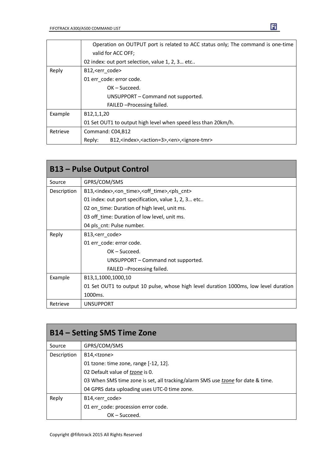|          | Operation on OUTPUT port is related to ACC status only; The command is one-time<br>valid for ACC OFF; |
|----------|-------------------------------------------------------------------------------------------------------|
|          | 02 index: out port selection, value 1, 2, 3 etc                                                       |
| Reply    | B12, <err_code></err_code>                                                                            |
|          | 01 err code: error code.                                                                              |
|          | $OK - Succeed.$                                                                                       |
|          | UNSUPPORT - Command not supported.                                                                    |
|          | FAILED - Processing failed.                                                                           |
| Example  | B12,1,1,20                                                                                            |
|          | 01 Set OUT1 to output high level when speed less than 20km/h.                                         |
| Retrieve | Command: C04,B12                                                                                      |
|          | B12, <index>,<action=3>,<en>,<ignore-tmr><br/>Reply:</ignore-tmr></en></action=3></index>             |

| <b>B13 - Pulse Output Control</b> |                                                                                      |
|-----------------------------------|--------------------------------------------------------------------------------------|
| Source                            | GPRS/COM/SMS                                                                         |
| Description                       | B13, <index>,<on_time>,<off_time>,<pls_cnt></pls_cnt></off_time></on_time></index>   |
|                                   | 01 index: out port specification, value 1, 2, 3 etc                                  |
|                                   | 02 on time: Duration of high level, unit ms.                                         |
|                                   | 03 off time: Duration of low level, unit ms.                                         |
|                                   | 04 pls_cnt: Pulse number.                                                            |
| Reply                             | B13, <err_code></err_code>                                                           |
|                                   | 01 err code: error code.                                                             |
|                                   | $OK - Succeed.$                                                                      |
|                                   | UNSUPPORT – Command not supported.                                                   |
|                                   | FAILED - Processing failed.                                                          |
| Example                           | B13,1,1000,1000,10                                                                   |
|                                   | 01 Set OUT1 to output 10 pulse, whose high level duration 1000ms, low level duration |
|                                   | 1000ms.                                                                              |
| Retrieve                          | <b>UNSUPPORT</b>                                                                     |

| <b>B14 – Setting SMS Time Zone</b> |                                                                                        |
|------------------------------------|----------------------------------------------------------------------------------------|
| Source                             | GPRS/COM/SMS                                                                           |
| Description                        | B14, <tzone></tzone>                                                                   |
|                                    | 01 tzone: time zone, range [-12, 12].                                                  |
|                                    | 02 Default value of tzone is 0.                                                        |
|                                    | 03 When SMS time zone is set, all tracking/alarm SMS use <i>tzone</i> for date & time. |
|                                    | 04 GPRS data uploading uses UTC-0 time zone.                                           |
| Reply                              | B14, <err code=""></err>                                                               |
|                                    | 01 err_code: procession error code.                                                    |
|                                    | $OK - Succeed.$                                                                        |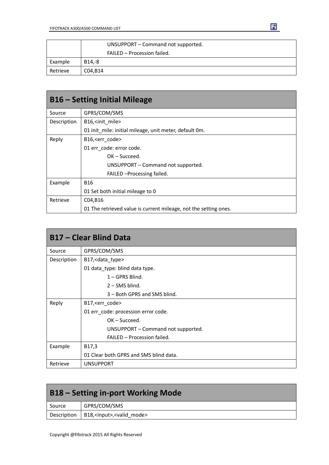|          | UNSUPPORT - Command not supported. |
|----------|------------------------------------|
|          | FAILED - Procession failed.        |
| Example  | B14.-8                             |
| Retrieve | C04.B14                            |

| <b>B16 – Setting Initial Mileage</b> |                                                                  |
|--------------------------------------|------------------------------------------------------------------|
| Source                               | GPRS/COM/SMS                                                     |
| Description                          | B16, <init mile=""></init>                                       |
|                                      | 01 init mile: initial mileage, unit meter, default 0m.           |
| Reply                                | B16, <err code=""></err>                                         |
|                                      | 01 err code: error code.                                         |
|                                      | $OK - Succeed.$                                                  |
|                                      | UNSUPPORT - Command not supported.                               |
|                                      | FAILED - Processing failed.                                      |
| Example                              | <b>B16</b>                                                       |
|                                      | 01 Set both initial mileage to 0                                 |
| Retrieve                             | C04, B16                                                         |
|                                      | 01 The retrieved value is current mileage, not the setting ones. |

| <b>B17 - Clear Blind Data</b> |                                        |
|-------------------------------|----------------------------------------|
| Source                        | GPRS/COM/SMS                           |
| Description                   | B17, < data_type>                      |
|                               | 01 data_type: blind data type.         |
|                               | $1 - GPRS$ Blind.                      |
|                               | $2 -$ SMS blind.                       |
|                               | 3 – Both GPRS and SMS blind.           |
| Reply                         | B17, <err_code></err_code>             |
|                               | 01 err_code: procession error code.    |
|                               | $OK - Succeed.$                        |
|                               | UNSUPPORT – Command not supported.     |
|                               | FAILED - Procession failed.            |
| Example                       | B17,3                                  |
|                               | 01 Clear both GPRS and SMS blind data. |
| Retrieve                      | <b>UNSUPPORT</b>                       |

| <b>B18 – Setting in-port Working Mode</b> |                                                       |
|-------------------------------------------|-------------------------------------------------------|
| Source                                    | GPRS/COM/SMS                                          |
|                                           | Description   B18, <input/> , <valid mode=""></valid> |

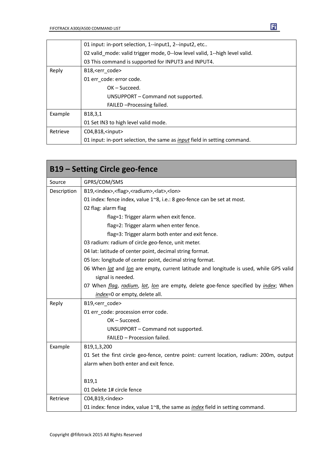|          | 01 input: in-port selection, 1--input1, 2--input2, etc                          |
|----------|---------------------------------------------------------------------------------|
|          | 02 valid mode: valid trigger mode, 0--low level valid, 1--high level valid.     |
|          | 03 This command is supported for INPUT3 and INPUT4.                             |
| Reply    | B18, <err code=""></err>                                                        |
|          | 01 err code: error code.                                                        |
|          | $OK - Succeed.$                                                                 |
|          | UNSUPPORT – Command not supported.                                              |
|          | FAILED - Processing failed.                                                     |
| Example  | B <sub>18</sub> , 3, 1                                                          |
|          | 01 Set IN3 to high level valid mode.                                            |
| Retrieve | $CO4, B18,$ <input/>                                                            |
|          | 01 input: in-port selection, the same as <i>input</i> field in setting command. |

| <b>B19 - Setting Circle geo-fence</b> |                                                                                               |  |
|---------------------------------------|-----------------------------------------------------------------------------------------------|--|
| Source                                | GPRS/COM/SMS                                                                                  |  |
| Description                           | B19, <index>,<flag>,<radium>,<lat>,<lon></lon></lat></radium></flag></index>                  |  |
|                                       | 01 index: fence index, value 1~8, i.e.: 8 geo-fence can be set at most.                       |  |
|                                       | 02 flag: alarm flag                                                                           |  |
|                                       | flag=1: Trigger alarm when exit fence.                                                        |  |
|                                       | flag=2: Trigger alarm when enter fence.                                                       |  |
|                                       | flag=3: Trigger alarm both enter and exit fence.                                              |  |
|                                       | 03 radium: radium of circle geo-fence, unit meter.                                            |  |
|                                       | 04 lat: latitude of center point, decimal string format.                                      |  |
|                                       | 05 Ion: longitude of center point, decimal string format.                                     |  |
|                                       | 06 When lat and lon are empty, current latitude and longitude is used, while GPS valid        |  |
|                                       | signal is needed.                                                                             |  |
|                                       | 07 When flag, radium, lat, lon are empty, delete goe-fence specified by index; When           |  |
|                                       | index=0 or empty, delete all.                                                                 |  |
| Reply                                 | B19, <err code=""></err>                                                                      |  |
|                                       | 01 err code: procession error code.                                                           |  |
|                                       | OK-Succeed.                                                                                   |  |
|                                       | UNSUPPORT - Command not supported.                                                            |  |
|                                       | FAILED - Procession failed.                                                                   |  |
| Example                               | B19,1,3,200                                                                                   |  |
|                                       | 01 Set the first circle geo-fence, centre point: current location, radium: 200m, output       |  |
|                                       | alarm when both enter and exit fence.                                                         |  |
|                                       |                                                                                               |  |
|                                       | B19,1                                                                                         |  |
|                                       | 01 Delete 1# circle fence                                                                     |  |
| Retrieve                              | C04, B19, <index></index>                                                                     |  |
|                                       | 01 index: fence index, value $1^{\sim}8$ , the same as <i>index</i> field in setting command. |  |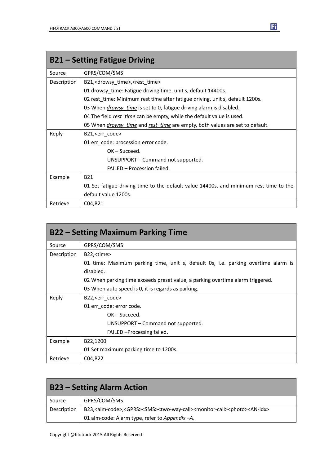| <b>B21 – Setting Fatigue Driving</b> |                                                                                       |
|--------------------------------------|---------------------------------------------------------------------------------------|
| Source                               | GPRS/COM/SMS                                                                          |
| Description                          | B21, <drowsy_time>,<rest_time></rest_time></drowsy_time>                              |
|                                      | 01 drowsy_time: Fatigue driving time, unit s, default 14400s.                         |
|                                      | 02 rest_time: Minimum rest time after fatigue driving, unit s, default 1200s.         |
|                                      | 03 When <i>drowsy time</i> is set to 0, fatigue driving alarm is disabled.            |
|                                      | 04 The field rest time can be empty, while the default value is used.                 |
|                                      | 05 When <i>drowsy time</i> and rest time are empty, both values are set to default.   |
| Reply                                | B21, <err_code></err_code>                                                            |
|                                      | 01 err_code: procession error code.                                                   |
|                                      | $OK - Succeed.$                                                                       |
|                                      | UNSUPPORT – Command not supported.                                                    |
|                                      | FAILED - Procession failed.                                                           |
| Example                              | <b>B21</b>                                                                            |
|                                      | 01 Set fatigue driving time to the default value 14400s, and minimum rest time to the |
|                                      | default value 1200s.                                                                  |
| Retrieve                             | C04, B21                                                                              |

| <b>B22 – Setting Maximum Parking Time</b> |                                                                                   |
|-------------------------------------------|-----------------------------------------------------------------------------------|
| Source                                    | GPRS/COM/SMS                                                                      |
| Description                               | B22, <time></time>                                                                |
|                                           | 01 time: Maximum parking time, unit s, default 0s, i.e. parking overtime alarm is |
|                                           | disabled.                                                                         |
|                                           | 02 When parking time exceeds preset value, a parking overtime alarm triggered.    |
|                                           | 03 When auto speed is 0, it is regards as parking.                                |
| Reply                                     | B22, <err_code></err_code>                                                        |
|                                           | 01 err code: error code.                                                          |
|                                           | $OK - Succeed.$                                                                   |
|                                           | UNSUPPORT – Command not supported.                                                |
|                                           | FAILED - Processing failed.                                                       |
| Example                                   | B22,1200                                                                          |
|                                           | 01 Set maximum parking time to 1200s.                                             |
| Retrieve                                  | C04, B22                                                                          |

| <b>B23 – Setting Alarm Action</b> |                                                                                                                                               |
|-----------------------------------|-----------------------------------------------------------------------------------------------------------------------------------------------|
| Source                            | GPRS/COM/SMS                                                                                                                                  |
| Description                       | B23, <alm-code>,<gprs><sms><two-way-call><monitor-call><photo><an-idx></an-idx></photo></monitor-call></two-way-call></sms></gprs></alm-code> |
|                                   | 01 alm-code: Alarm type, refer to Appendix-A.                                                                                                 |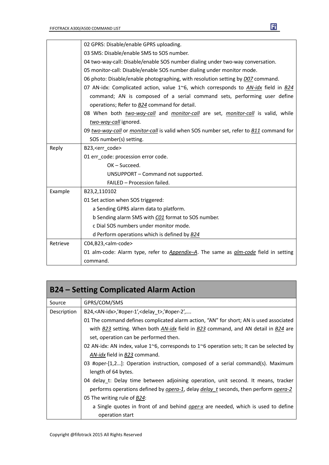|          | 02 GPRS: Disable/enable GPRS uploading.                                                            |
|----------|----------------------------------------------------------------------------------------------------|
|          | 03 SMS: Disable/enable SMS to SOS number.                                                          |
|          | 04 two-way-call: Disable/enable SOS number dialing under two-way conversation.                     |
|          | 05 monitor-call: Disable/enable SOS number dialing under monitor mode.                             |
|          | 06 photo: Disable/enable photographing, with resolution setting by <i>D07</i> command.             |
|          | 07 AN-idx: Complicated action, value 1 $\degree$ 6, which corresponds to AN-idx field in B24       |
|          | command; AN is composed of a serial command sets, performing user define                           |
|          | operations; Refer to <b>B24</b> command for detail.                                                |
|          | 08 When both two-way-call and monitor-call are set, monitor-call is valid, while                   |
|          | two-way-call ignored.                                                                              |
|          | 09 two-way-call or monitor-call is valid when SOS number set, refer to B11 command for             |
|          | SOS number(s) setting.                                                                             |
| Reply    | B23, <err code=""></err>                                                                           |
|          | 01 err code: procession error code.                                                                |
|          | $OK - Succeed.$                                                                                    |
|          | UNSUPPORT - Command not supported.                                                                 |
|          | FAILED - Procession failed.                                                                        |
| Example  | B23,2,110102                                                                                       |
|          | 01 Set action when SOS triggered:                                                                  |
|          | a Sending GPRS alarm data to platform.                                                             |
|          | b Sending alarm SMS with C01 format to SOS number.                                                 |
|          | c Dial SOS numbers under monitor mode.                                                             |
|          | d Perform operations which is defined by <b>B24</b>                                                |
| Retrieve | C04,B23, <alm-code></alm-code>                                                                     |
|          | 01 alm-code: Alarm type, refer to <i>Appendix-A</i> . The same as <i>alm-code</i> field in setting |
|          | command.                                                                                           |

| <b>B24 - Setting Complicated Alarm Action</b> |                                                                                                            |
|-----------------------------------------------|------------------------------------------------------------------------------------------------------------|
| Source                                        | GPRS/COM/SMS                                                                                               |
| Description                                   | B24, $\langle$ AN-idx>,'#oper-1', $\langle$ delay t>,'#oper-2',                                            |
|                                               | 01 The command defines complicated alarm action, "AN" for short; AN is used associated                     |
|                                               | with B23 setting. When both AN-idx field in B23 command, and AN detail in B24 are                          |
|                                               | set, operation can be performed then.                                                                      |
|                                               | 02 AN-idx: AN index, value 1 $\infty$ 6, corresponds to 1 $\infty$ 6 operation sets; It can be selected by |
|                                               | AN-idx field in B23 command.                                                                               |
|                                               | 03 #oper-[1,2]: Operation instruction, composed of a serial command(s). Maximum                            |
|                                               | length of 64 bytes.                                                                                        |
|                                               | 04 delay_t: Delay time between adjoining operation, unit second. It means, tracker                         |
|                                               | performs operations defined by <i>opera-1</i> , delay <i>delay t</i> seconds, then perform <i>opera-2</i>  |
|                                               | 05 The writing rule of B24:                                                                                |
|                                               | a Single quotes in front of and behind <i>oper-x</i> are needed, which is used to define                   |
|                                               | operation start                                                                                            |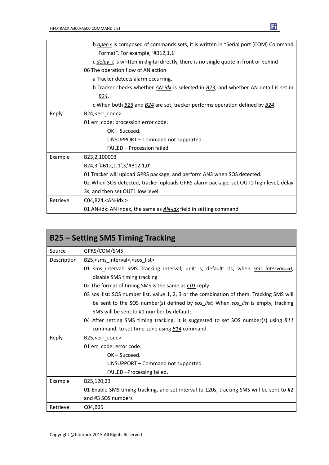|          | b oper-x is composed of commands sets, it is written in "Serial port (COM) Command           |
|----------|----------------------------------------------------------------------------------------------|
|          | Format". For example, '#B12,1,1'                                                             |
|          | c <i>delay</i> t is written in digital directly, there is no single quote in front or behind |
|          | 06 The operation flow of AN action                                                           |
|          | a Tracker detects alarm occurring.                                                           |
|          | b Tracker checks whether AN-idx is selected in B23, and whether AN detail is set in          |
|          | B24.                                                                                         |
|          | c When both B23 and B24 are set, tracker performs operation defined by B24.                  |
| Reply    | B24, <err_code></err_code>                                                                   |
|          | 01 err_code: procession error code.                                                          |
|          | $OK - Succeed.$                                                                              |
|          | UNSUPPORT - Command not supported.                                                           |
|          | FAILED - Procession failed.                                                                  |
| Example  | B23,2,100003                                                                                 |
|          | B24,3,'#B12,1,1',3,'#B12,1,0'                                                                |
|          | 01 Tracker will upload GPRS package, and perform AN3 when SOS detected.                      |
|          | 02 When SOS detected, tracker uploads GPRS alarm package, set OUT1 high level, delay         |
|          | 3s, and then set OUT1 low level.                                                             |
| Retrieve | C04, B24, <an-idx></an-idx>                                                                  |
|          | 01 AN-idx: AN index, the same as <b>AN-idx</b> field in setting command                      |

| <b>B25 – Setting SMS Timing Tracking</b> |                                                                                             |
|------------------------------------------|---------------------------------------------------------------------------------------------|
| Source                                   | GPRS/COM/SMS                                                                                |
| Description                              | B25, < sms interval>, < sos list>                                                           |
|                                          | 01 sms_interval: SMS Tracking interval, unit: s, default: 0s; when sms interval==0,         |
|                                          | disable SMS timing tracking                                                                 |
|                                          | 02 The format of timing SMS is the same as C01 reply                                        |
|                                          | 03 sos_list: SOS number list, value 1, 2, 3 or the combination of them. Tracking SMS will   |
|                                          | be sent to the SOS number(s) defined by sos list; When sos list is empty, tracking          |
|                                          | SMS will be sent to #1 number by default;                                                   |
|                                          | 04 After setting SMS timing tracking, it is suggested to set SOS number(s) using <b>B11</b> |
|                                          | command, to set time-zone using B14 command.                                                |
| Reply                                    | B25, <err_code></err_code>                                                                  |
|                                          | 01 err_code: error code.                                                                    |
|                                          | $OK - Succeed.$                                                                             |
|                                          | UNSUPPORT - Command not supported.                                                          |
|                                          | FAILED - Processing failed.                                                                 |
| Example                                  | B25,120,23                                                                                  |
|                                          | 01 Enable SMS timing tracking, and set interval to 120s, tracking SMS will be sent to #2    |
|                                          | and #3 SOS numbers                                                                          |
| Retrieve                                 | C04, B25                                                                                    |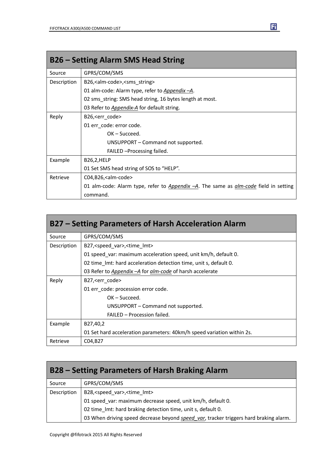| <b>B26 - Setting Alarm SMS Head String</b> |                                                                                             |
|--------------------------------------------|---------------------------------------------------------------------------------------------|
| Source                                     | GPRS/COM/SMS                                                                                |
| Description                                | B26, <alm-code>, <sms_string></sms_string></alm-code>                                       |
|                                            | 01 alm-code: Alarm type, refer to Appendix -A.                                              |
|                                            | 02 sms string: SMS head string, 16 bytes length at most.                                    |
|                                            | 03 Refer to <i>Appendix-A</i> for default string.                                           |
| Reply                                      | B26, < err code >                                                                           |
|                                            | 01 err code: error code.                                                                    |
|                                            | $OK - Succeed.$                                                                             |
|                                            | UNSUPPORT – Command not supported.                                                          |
|                                            | FAILED - Processing failed.                                                                 |
| Example                                    | B26,2,HELP                                                                                  |
|                                            | 01 Set SMS head string of SOS to "HELP".                                                    |
| Retrieve                                   | C04,B26, <alm-code></alm-code>                                                              |
|                                            | 01 alm-code: Alarm type, refer to Appendix -A. The same as <i>glm-code</i> field in setting |
|                                            | command.                                                                                    |

| B27 – Setting Parameters of Harsh Acceleration Alarm |                                                                        |
|------------------------------------------------------|------------------------------------------------------------------------|
| Source                                               | GPRS/COM/SMS                                                           |
| Description                                          | B27, <speed var="">, <time lmt=""></time></speed>                      |
|                                                      | 01 speed var: maximum acceleration speed, unit km/h, default 0.        |
|                                                      | 02 time Imt: hard acceleration detection time, unit s, default 0.      |
|                                                      | 03 Refer to Appendix - A for alm-code of harsh accelerate              |
| Reply                                                | B27, < err code >                                                      |
|                                                      | 01 err code: procession error code.                                    |
|                                                      | $OK - Succeed.$                                                        |
|                                                      | UNSUPPORT – Command not supported.                                     |
|                                                      | FAILED - Procession failed.                                            |
| Example                                              | B27,40,2                                                               |
|                                                      | 01 Set hard acceleration parameters: 40km/h speed variation within 2s. |
| Retrieve                                             | C04, B27                                                               |

| B28 – Setting Parameters of Harsh Braking Alarm |                                                                                       |
|-------------------------------------------------|---------------------------------------------------------------------------------------|
| Source                                          | GPRS/COM/SMS                                                                          |
| Description                                     | B28, <speed_var>,<time_lmt></time_lmt></speed_var>                                    |
|                                                 | 01 speed_var: maximum decrease speed, unit km/h, default 0.                           |
|                                                 | 02 time_lmt: hard braking detection time, unit s, default 0.                          |
|                                                 | 03 When driving speed decrease beyond speed_var, tracker triggers hard braking alarm. |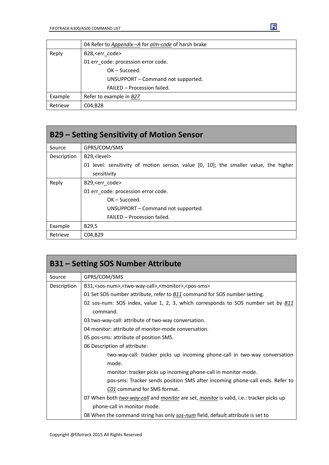|          | 04 Refer to Appendix - A for alm-code of harsh brake |  |
|----------|------------------------------------------------------|--|
| Reply    | B28, <err code=""></err>                             |  |
|          | 01 err code: procession error code.                  |  |
|          | $OK - Succeed.$                                      |  |
|          | UNSUPPORT - Command not supported.                   |  |
|          | FAILED - Procession failed.                          |  |
| Example  | Refer to example in B27                              |  |
| Retrieve | C04, B28                                             |  |

| B29 – Setting Sensitivity of Motion Sensor |                                                                                      |  |  |
|--------------------------------------------|--------------------------------------------------------------------------------------|--|--|
| Source                                     | GPRS/COM/SMS                                                                         |  |  |
| Description                                | B29, <level></level>                                                                 |  |  |
|                                            | 01 level: sensitivity of motion sensor, value [0, 10]; the smaller value, the higher |  |  |
|                                            | sensitivity                                                                          |  |  |
| Reply                                      | B29, <err code=""></err>                                                             |  |  |
|                                            | 01 err code: procession error code.                                                  |  |  |
| $OK - Succeed.$                            |                                                                                      |  |  |
|                                            | UNSUPPORT – Command not supported.                                                   |  |  |
|                                            | FAILED - Procession failed.                                                          |  |  |
| Example                                    | B29,5                                                                                |  |  |
| Retrieve                                   | C04,B29                                                                              |  |  |

| <b>B31 - Setting SOS Number Attribute</b> |                                                                                                              |  |  |  |
|-------------------------------------------|--------------------------------------------------------------------------------------------------------------|--|--|--|
| Source                                    | GPRS/COM/SMS                                                                                                 |  |  |  |
| Description                               | B31, <sos-num>,<two-way-call>,<monitor>,<pos-sms></pos-sms></monitor></two-way-call></sos-num>               |  |  |  |
|                                           | 01 Set SOS number attribute, refer to <b>B11</b> command for SOS number setting.                             |  |  |  |
|                                           | 02 sos-num: SOS index, value 1, 2, 3, which corresponds to SOS number set by <b>B11</b><br>command.          |  |  |  |
|                                           | 03 two-way-call: attribute of two-way conversation.                                                          |  |  |  |
|                                           | 04 monitor: attribute of monitor-mode conversation.                                                          |  |  |  |
|                                           | 05 pos-sms: attribute of position SMS.                                                                       |  |  |  |
|                                           | 06 Description of attribute:                                                                                 |  |  |  |
|                                           | two-way-call: tracker picks up incoming phone-call in two-way conversation                                   |  |  |  |
|                                           | mode.                                                                                                        |  |  |  |
|                                           | monitor: tracker picks up incoming phone-call in monitor mode.                                               |  |  |  |
|                                           | pos-sms: Tracker sends position SMS after incoming phone-call ends. Refer to                                 |  |  |  |
|                                           | C01 command for SMS format.                                                                                  |  |  |  |
|                                           | 07 When both <i>two-way-call</i> and <i>monitor</i> are set, <i>monitor</i> is valid, i.e.: tracker picks up |  |  |  |
|                                           | phone-call in monitor mode.                                                                                  |  |  |  |
|                                           | 08 When the command string has only sos-num field, default attribute is set to                               |  |  |  |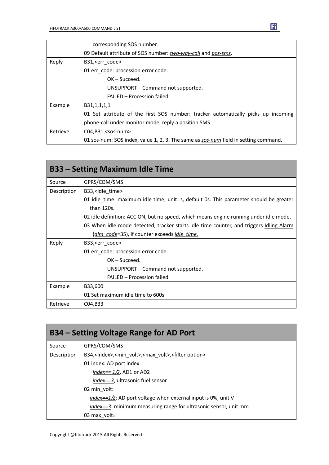|          | corresponding SOS number.                                                           |  |  |
|----------|-------------------------------------------------------------------------------------|--|--|
|          | 09 Default attribute of SOS number: two-way-call and pos-sms.                       |  |  |
| Reply    | B31, <err code=""></err>                                                            |  |  |
|          | 01 err_code: procession error code.                                                 |  |  |
|          | $OK - Succeed.$                                                                     |  |  |
|          | UNSUPPORT – Command not supported.                                                  |  |  |
|          | FAILED - Procession failed.                                                         |  |  |
| Example  | B31,1,1,1,1                                                                         |  |  |
|          | 01 Set attribute of the first SOS number: tracker automatically picks up incoming   |  |  |
|          | phone-call under monitor mode, reply a position SMS.                                |  |  |
| Retrieve | $CO4, B31, <$ sos-num>                                                              |  |  |
|          | 01 sos-num: SOS index, value 1, 2, 3. The same as sos-num field in setting command. |  |  |

| <b>B33 - Setting Maximum Idle Time</b> |                                                                                         |  |  |  |
|----------------------------------------|-----------------------------------------------------------------------------------------|--|--|--|
| Source                                 | GPRS/COM/SMS                                                                            |  |  |  |
| Description                            | B33, sidle time                                                                         |  |  |  |
|                                        | 01 idle time: maximum idle time, unit: s, default 0s. This parameter should be greater  |  |  |  |
|                                        | than 120s.                                                                              |  |  |  |
|                                        | 02 idle definition: ACC ON, but no speed, which means engine running under idle mode.   |  |  |  |
|                                        | 03 When idle mode detected, tracker starts idle time counter, and triggers Idling Alarm |  |  |  |
|                                        | (alm code=35), if counter exceeds idle time.                                            |  |  |  |
| Reply                                  | B33, <err code=""></err>                                                                |  |  |  |
|                                        | 01 err_code: procession error code.                                                     |  |  |  |
|                                        | $OK - Succeed.$                                                                         |  |  |  |
|                                        | UNSUPPORT - Command not supported.                                                      |  |  |  |
|                                        | FAILED - Procession failed.                                                             |  |  |  |
| Example                                | B33,600                                                                                 |  |  |  |
|                                        | 01 Set maximum idle time to 600s                                                        |  |  |  |
| Retrieve                               | C04, B33                                                                                |  |  |  |

| B34 – Setting Voltage Range for AD Port                                                                     |                                                                   |  |  |
|-------------------------------------------------------------------------------------------------------------|-------------------------------------------------------------------|--|--|
| Source                                                                                                      | GPRS/COM/SMS                                                      |  |  |
| Description<br>B34, <index>,<min volt="">,<max volt="">,<filter-option></filter-option></max></min></index> |                                                                   |  |  |
|                                                                                                             | 01 index: AD port index                                           |  |  |
|                                                                                                             | index== $1/2$ , AD1 or AD2                                        |  |  |
|                                                                                                             | <i>index==3</i> , ultrasonic fuel sensor                          |  |  |
|                                                                                                             | 02 min volt:                                                      |  |  |
|                                                                                                             | $index = 1/2$ : AD port voltage when external input is 0%, unit V |  |  |
|                                                                                                             | index==3: minimum measuring range for ultrasonic sensor, unit mm  |  |  |
|                                                                                                             | 03 max volt:                                                      |  |  |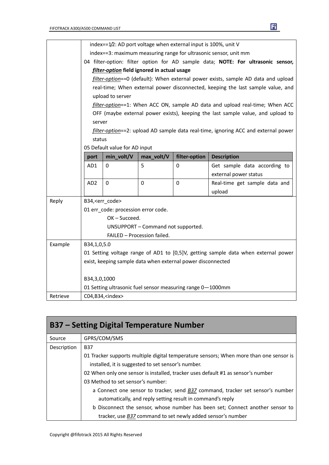|          |                                                                  | index==1/2: AD port voltage when external input is 100%, unit V |                                                             |               |                                                                                    |  |
|----------|------------------------------------------------------------------|-----------------------------------------------------------------|-------------------------------------------------------------|---------------|------------------------------------------------------------------------------------|--|
|          | index==3: maximum measuring range for ultrasonic sensor, unit mm |                                                                 |                                                             |               |                                                                                    |  |
|          |                                                                  |                                                                 |                                                             |               | 04 filter-option: filter option for AD sample data; NOTE: For ultrasonic sensor,   |  |
|          |                                                                  | filter-option field ignored in actual usage                     |                                                             |               |                                                                                    |  |
|          |                                                                  |                                                                 |                                                             |               | filter-option==0 (default): When external power exists, sample AD data and upload  |  |
|          |                                                                  |                                                                 |                                                             |               | real-time; When external power disconnected, keeping the last sample value, and    |  |
|          |                                                                  | upload to server                                                |                                                             |               |                                                                                    |  |
|          |                                                                  |                                                                 |                                                             |               | filter-option==1: When ACC ON, sample AD data and upload real-time; When ACC       |  |
|          |                                                                  |                                                                 |                                                             |               | OFF (maybe external power exists), keeping the last sample value, and upload to    |  |
|          | server                                                           |                                                                 |                                                             |               |                                                                                    |  |
|          |                                                                  |                                                                 |                                                             |               | filter-option==2: upload AD sample data real-time, ignoring ACC and external power |  |
|          | status                                                           |                                                                 |                                                             |               |                                                                                    |  |
|          |                                                                  | 05 Default value for AD input                                   |                                                             |               |                                                                                    |  |
|          | port                                                             | min_volt/V                                                      | max_volt/V                                                  | filter-option | <b>Description</b>                                                                 |  |
|          | AD1                                                              | 0                                                               | 5                                                           | 0             | Get sample data according to                                                       |  |
|          |                                                                  |                                                                 |                                                             |               | external power status                                                              |  |
|          | AD <sub>2</sub>                                                  | $\mathbf 0$                                                     | $\mathbf 0$                                                 | $\mathbf 0$   | Real-time get sample data and                                                      |  |
|          |                                                                  |                                                                 |                                                             |               | upload                                                                             |  |
| Reply    |                                                                  | B34, <err code=""></err>                                        |                                                             |               |                                                                                    |  |
|          |                                                                  | 01 err_code: procession error code.                             |                                                             |               |                                                                                    |  |
|          |                                                                  | $OK - Succeed.$                                                 |                                                             |               |                                                                                    |  |
|          |                                                                  |                                                                 | UNSUPPORT - Command not supported.                          |               |                                                                                    |  |
|          |                                                                  |                                                                 | FAILED - Procession failed.                                 |               |                                                                                    |  |
| Example  |                                                                  | B34,1,0,5.0                                                     |                                                             |               |                                                                                    |  |
|          |                                                                  |                                                                 |                                                             |               | 01 Setting voltage range of AD1 to [0,5]V, getting sample data when external power |  |
|          |                                                                  |                                                                 | exist, keeping sample data when external power disconnected |               |                                                                                    |  |
|          |                                                                  |                                                                 |                                                             |               |                                                                                    |  |
|          | B34,3,0,1000                                                     |                                                                 |                                                             |               |                                                                                    |  |
|          |                                                                  |                                                                 | 01 Setting ultrasonic fuel sensor measuring range 0-1000mm  |               |                                                                                    |  |
| Retrieve |                                                                  | C04,B34, <index></index>                                        |                                                             |               |                                                                                    |  |

| B37 – Setting Digital Temperature Number |                                                                                                                                              |  |  |  |
|------------------------------------------|----------------------------------------------------------------------------------------------------------------------------------------------|--|--|--|
| Source                                   | GPRS/COM/SMS                                                                                                                                 |  |  |  |
| Description                              | <b>B37</b>                                                                                                                                   |  |  |  |
|                                          | 01 Tracker supports multiple digital temperature sensors; When more than one sensor is<br>installed, it is suggested to set sensor's number. |  |  |  |
|                                          | 02 When only one sensor is installed, tracker uses default #1 as sensor's number                                                             |  |  |  |
|                                          | 03 Method to set sensor's number:                                                                                                            |  |  |  |
|                                          | a Connect one sensor to tracker, send <b>B37</b> command, tracker set sensor's number                                                        |  |  |  |
|                                          | automatically, and reply setting result in command's reply                                                                                   |  |  |  |
|                                          | b Disconnect the sensor, whose number has been set; Connect another sensor to                                                                |  |  |  |
|                                          | tracker, use B37 command to set newly added sensor's number                                                                                  |  |  |  |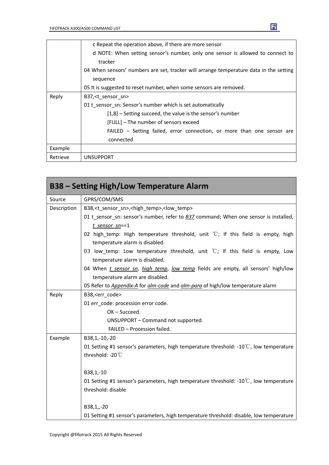|          | c Repeat the operation above, if there are more sensor                                 |
|----------|----------------------------------------------------------------------------------------|
|          | d NOTE: When setting sensor's number, only one sensor is allowed to connect to         |
|          | tracker                                                                                |
|          | 04 When sensors' numbers are set, tracker will arrange temperature data in the setting |
|          | sequence                                                                               |
|          | 05 It is suggested to reset number, when some sensors are removed.                     |
| Reply    | B37, <t sensor="" sn=""></t>                                                           |
|          | 01 t sensor sn: Sensor's number which is set automatically                             |
|          | $[1,8]$ – Setting succeed, the value is the sensor's number                            |
|          | [FULL] - The number of sensors exceed                                                  |
|          | FAILED - Setting failed, error connection, or more than one sensor are                 |
|          | connected                                                                              |
| Example  |                                                                                        |
| Retrieve | <b>UNSUPPORT</b>                                                                       |

 $\mathbf{F}$ 

| <b>B38 - Setting High/Low Temperature Alarm</b> |                                                                                                                            |  |  |
|-------------------------------------------------|----------------------------------------------------------------------------------------------------------------------------|--|--|
| Source                                          | GPRS/COM/SMS                                                                                                               |  |  |
| Description                                     | B38, <t sensor="" sn="">,<high temp="">,<low temp=""></low></high></t>                                                     |  |  |
|                                                 | 01 t_sensor_sn: sensor's number, refer to B37 command; When one sensor is installed,                                       |  |  |
|                                                 | $t$ sensor sn==1                                                                                                           |  |  |
|                                                 | 02 high_temp: High temperature threshold, unit $\degree$ C; If this field is empty, high<br>temperature alarm is disabled. |  |  |
|                                                 | 03 low_temp: Low temperature threshold, unit $\degree$ C; If this field is empty, Low<br>temperature alarm is disabled.    |  |  |
|                                                 | 04 When <i>t sensor sn, high temp, low temp</i> fields are empty, all sensors' high/low                                    |  |  |
|                                                 | temperature alarm are disabled.                                                                                            |  |  |
|                                                 | 05 Refer to <i>Appendix-A</i> for <i>alm-code</i> and <i>alm-para</i> of high/low temperature alarm                        |  |  |
| Reply                                           | B38, <err_code></err_code>                                                                                                 |  |  |
|                                                 | 01 err code: procession error code.                                                                                        |  |  |
|                                                 | OK-Succeed.                                                                                                                |  |  |
|                                                 | UNSUPPORT - Command not supported.                                                                                         |  |  |
|                                                 | FAILED - Procession failed.                                                                                                |  |  |
| Example                                         | B38,1,-10,-20                                                                                                              |  |  |
|                                                 | 01 Setting #1 sensor's parameters, high temperature threshold: - $10^{\circ}$ C, low temperature                           |  |  |
|                                                 | threshold: -20°C                                                                                                           |  |  |
|                                                 | B38,1,-10                                                                                                                  |  |  |
|                                                 | 01 Setting #1 sensor's parameters, high temperature threshold: - $10^{\circ}$ C, low temperature                           |  |  |
|                                                 | threshold: disable                                                                                                         |  |  |
|                                                 | B38,1,,-20                                                                                                                 |  |  |
|                                                 | 01 Setting #1 sensor's parameters, high temperature threshold: disable, low temperature                                    |  |  |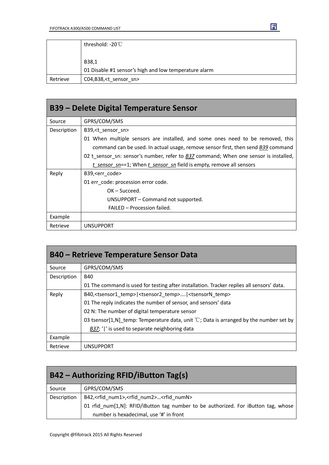|          | threshold: -20°C                                      |  |
|----------|-------------------------------------------------------|--|
|          |                                                       |  |
|          | B38,1                                                 |  |
|          | 01 Disable #1 sensor's high and low temperature alarm |  |
| Retrieve | C04,B38, <t_sensor_sn></t_sensor_sn>                  |  |

| B39 – Delete Digital Temperature Sensor |                                                                                      |  |
|-----------------------------------------|--------------------------------------------------------------------------------------|--|
| Source                                  | GPRS/COM/SMS                                                                         |  |
| Description                             | B39, <t sensor="" sn=""></t>                                                         |  |
|                                         | 01 When multiple sensors are installed, and some ones need to be removed, this       |  |
|                                         | command can be used. In actual usage, remove sensor first, then send B39 command     |  |
|                                         | 02 t sensor sn: sensor's number, refer to B37 command; When one sensor is installed, |  |
|                                         | t sensor $sn=1$ ; When t sensor $sn$ field is empty, remove all sensors              |  |
| Reply                                   | B39, <err code=""></err>                                                             |  |
|                                         | 01 err_code: procession error code.                                                  |  |
|                                         | $OK - Succeed.$                                                                      |  |
|                                         | UNSUPPORT – Command not supported.                                                   |  |
|                                         | FAILED - Procession failed.                                                          |  |
| Example                                 |                                                                                      |  |
| Retrieve                                | <b>UNSUPPORT</b>                                                                     |  |

| <b>B40 – Retrieve Temperature Sensor Data</b> |                                                                                                   |
|-----------------------------------------------|---------------------------------------------------------------------------------------------------|
| Source                                        | GPRS/COM/SMS                                                                                      |
| Description                                   | <b>B40</b>                                                                                        |
|                                               | 01 The command is used for testing after installation. Tracker replies all sensors' data.         |
| Reply                                         | B40, <tsensor1 temp=""> <tsensor2 temp=""> <tsensorn temp=""></tsensorn></tsensor2></tsensor1>    |
|                                               | 01 The reply indicates the number of sensor, and sensors' data                                    |
|                                               | 02 N: The number of digital temperature sensor                                                    |
|                                               | 03 tsensor[1,N] temp: Temperature data, unit $\mathbb{C}$ ; Data is arranged by the number set by |
|                                               | B37; ' ' is used to separate neighboring data                                                     |
| Example                                       |                                                                                                   |
| Retrieve                                      | <b>UNSUPPORT</b>                                                                                  |

| B42 – Authorizing RFID/iButton Tag(s) |                                                                                    |
|---------------------------------------|------------------------------------------------------------------------------------|
| Source                                | GPRS/COM/SMS                                                                       |
| Description                           | B42, <rfid num1="">,<rfid num2=""><rfid numn=""></rfid></rfid></rfid>              |
|                                       | 01 rfid num[1,N]: RFID/iButton tag number to be authorized. For iButton tag, whose |
|                                       | number is hexadecimal, use '#' in front                                            |

 $\mathbf{F}$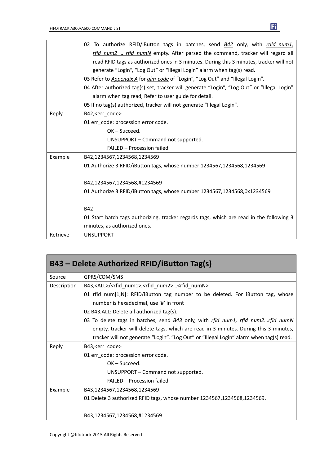|          | 02 To authorize RFID/iButton tags in batches, send B42 only, with rdid num1,                |
|----------|---------------------------------------------------------------------------------------------|
|          | rfid_num2  rfid_numN empty. After parsed the command, tracker will regard all               |
|          | read RFID tags as authorized ones in 3 minutes. During this 3 minutes, tracker will not     |
|          | generate "Login", "Log Out" or "Illegal Login" alarm when tag(s) read.                      |
|          | 03 Refer to Appendix A for alm-code of "Login", "Log Out" and "Illegal Login".              |
|          | 04 After authorized tag(s) set, tracker will generate "Login", "Log Out" or "Illegal Login" |
|          | alarm when tag read; Refer to user guide for detail.                                        |
|          | 05 If no tag(s) authorized, tracker will not generate "Illegal Login".                      |
| Reply    | B42, <err_code></err_code>                                                                  |
|          | 01 err code: procession error code.                                                         |
|          | OK-Succeed.                                                                                 |
|          | UNSUPPORT - Command not supported.                                                          |
|          | FAILED - Procession failed.                                                                 |
| Example  | B42,1234567,1234568,1234569                                                                 |
|          | 01 Authorize 3 RFID/iButton tags, whose number 1234567,1234568,1234569                      |
|          | B42,1234567,1234568,#1234569                                                                |
|          | 01 Authorize 3 RFID/iButton tags, whose number 1234567,1234568,0x1234569                    |
|          |                                                                                             |
|          | <b>B42</b>                                                                                  |
|          | 01 Start batch tags authorizing, tracker regards tags, which are read in the following 3    |
|          | minutes, as authorized ones.                                                                |
| Retrieve | <b>UNSUPPORT</b>                                                                            |

| B43 - Delete Authorized RFID/iButton Tag(s) |                                                                                                                            |
|---------------------------------------------|----------------------------------------------------------------------------------------------------------------------------|
| Source                                      | GPRS/COM/SMS                                                                                                               |
| Description                                 | B43, <all>/<rfid num1="">,<rfid num2=""><rfid numn=""></rfid></rfid></rfid></all>                                          |
|                                             | 01 rfid_num[1,N]: RFID/iButton tag number to be deleted. For iButton tag, whose<br>number is hexadecimal, use '#' in front |
|                                             | 02 B43, ALL: Delete all authorized tag(s).                                                                                 |
|                                             | 03 To delete tags in batches, send $\underline{B43}$ only, with rfid num1, rfid num2rfid numN                              |
|                                             | empty, tracker will delete tags, which are read in 3 minutes. During this 3 minutes,                                       |
|                                             | tracker will not generate "Login", "Log Out" or "Illegal Login" alarm when tag(s) read.                                    |
| Reply                                       | B43, <err code=""></err>                                                                                                   |
|                                             | 01 err_code: procession error code.                                                                                        |
|                                             | $OK - Succeed.$                                                                                                            |
|                                             | UNSUPPORT – Command not supported.                                                                                         |
|                                             | FAILED - Procession failed.                                                                                                |
| Example                                     | B43,1234567,1234568,1234569                                                                                                |
|                                             | 01 Delete 3 authorized RFID tags, whose number 1234567,1234568,1234569.                                                    |
|                                             | B43,1234567,1234568,#1234569                                                                                               |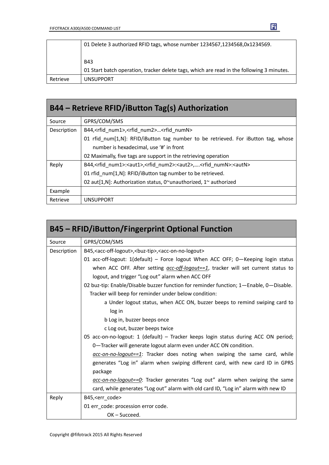|          | 01 Delete 3 authorized RFID tags, whose number 1234567,1234568,0x1234569.                 |
|----------|-------------------------------------------------------------------------------------------|
|          | <b>B43</b>                                                                                |
|          | 01 Start batch operation, tracker delete tags, which are read in the following 3 minutes. |
| Retrieve | <b>UNSUPPORT</b>                                                                          |

 $\mathbf{F}$ 

| B44 – Retrieve RFID/iButton Tag(s) Authorization |                                                                                                                  |
|--------------------------------------------------|------------------------------------------------------------------------------------------------------------------|
| Source                                           | GPRS/COM/SMS                                                                                                     |
| Description                                      | B44, <rfid num1="">,<rfid num2=""><rfid numn=""></rfid></rfid></rfid>                                            |
|                                                  | 01 rfid num[1,N]: RFID/iButton tag number to be retrieved. For iButton tag, whose                                |
|                                                  | number is hexadecimal, use '#' in front                                                                          |
|                                                  | 02 Maximally, five tags are support in the retrieving operation                                                  |
| Reply                                            | B44, <rfid num1="">:<aut1>,<rfid num2="">:<aut2>,<rfid numn="">:<autn></autn></rfid></aut2></rfid></aut1></rfid> |
|                                                  | 01 rfid num[1,N]: RFID/iButton tag number to be retrieved.                                                       |
|                                                  | 02 aut[1,N]: Authorization status, 0~unauthorized, 1~ authorized                                                 |
| Example                                          |                                                                                                                  |
| Retrieve                                         | <b>UNSUPPORT</b>                                                                                                 |

| <b>B45 - RFID/iButton/Fingerprint Optional Function</b> |                                                                                                      |  |
|---------------------------------------------------------|------------------------------------------------------------------------------------------------------|--|
| Source                                                  | GPRS/COM/SMS                                                                                         |  |
| Description                                             | B45, <acc-off-logout>, <br/>&gt;buz-tip&gt;, <acc-on-no-logout></acc-on-no-logout></acc-off-logout>  |  |
|                                                         | 01 acc-off-logout: 1(default) - Force logout When ACC OFF; 0-Keeping login status                    |  |
|                                                         | when ACC OFF. After setting $\frac{acc-off\text{-}logout==1}{}$ , tracker will set current status to |  |
|                                                         | logout, and trigger "Log out" alarm when ACC OFF                                                     |  |
|                                                         | 02 buz-tip: Enable/Disable buzzer function for reminder function; 1-Enable, 0-Disable.               |  |
|                                                         | Tracker will beep for reminder under below condition:                                                |  |
|                                                         | a Under logout status, when ACC ON, buzzer beeps to remind swiping card to                           |  |
|                                                         | log in                                                                                               |  |
|                                                         | b Log in, buzzer beeps once                                                                          |  |
|                                                         | c Log out, buzzer beeps twice                                                                        |  |
|                                                         | 05 acc-on-no-logout: 1 (default) - Tracker keeps login status during ACC ON period;                  |  |
|                                                         | 0-Tracker will generate logout alarm even under ACC ON condition.                                    |  |
|                                                         | $\alpha$ cc-on-no-logout==1: Tracker does noting when swiping the same card, while                   |  |
|                                                         | generates "Log in" alarm when swiping different card, with new card ID in GPRS                       |  |
|                                                         | package                                                                                              |  |
|                                                         | acc-on-no-logout==0: Tracker generates "Log out" alarm when swiping the same                         |  |
|                                                         | card, while generates "Log out" alarm with old card ID, "Log in" alarm with new ID                   |  |
| Reply                                                   | B45, <err code=""></err>                                                                             |  |
|                                                         | 01 err code: procession error code.                                                                  |  |
|                                                         | $OK - Succeed.$                                                                                      |  |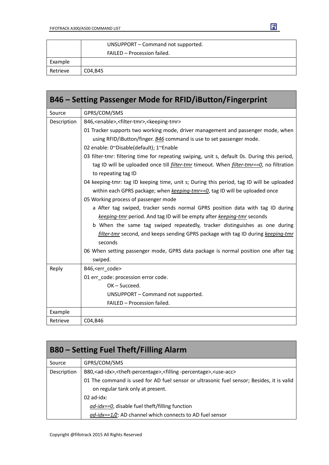|          | UNSUPPORT – Command not supported. |
|----------|------------------------------------|
|          | FAILED - Procession failed.        |
| Example  |                                    |
| Retrieve | C04,B45                            |

| B46 – Setting Passenger Mode for RFID/iButton/Fingerprint |                                                                                                        |  |
|-----------------------------------------------------------|--------------------------------------------------------------------------------------------------------|--|
| Source                                                    | GPRS/COM/SMS                                                                                           |  |
| Description                                               | B46, <enable>,<filter-tmr>,<keeping-tmr></keeping-tmr></filter-tmr></enable>                           |  |
|                                                           | 01 Tracker supports two working mode, driver management and passenger mode, when                       |  |
|                                                           | using RFID/iButton/finger. B46 command is use to set passenger mode.                                   |  |
|                                                           | 02 enable: 0~Disable(default); 1~Enable                                                                |  |
|                                                           | 03 filter-tmr: filtering time for repeating swiping, unit s, default 0s. During this period,           |  |
|                                                           | tag ID will be uploaded once till <i>filter-tmr</i> timeout. When <i>filter-tmr==0</i> , no filtration |  |
|                                                           | to repeating tag ID                                                                                    |  |
|                                                           | 04 keeping-tmr: tag ID keeping time, unit s; During this period, tag ID will be uploaded               |  |
|                                                           | within each GPRS package; when keeping-tmr==0, tag ID will be uploaded once                            |  |
|                                                           | 05 Working process of passenger mode                                                                   |  |
|                                                           | a After tag swiped, tracker sends normal GPRS position data with tag ID during                         |  |
|                                                           | keeping-tmr period. And tag ID will be empty after keeping-tmr seconds                                 |  |
|                                                           | b When the same tag swiped repeatedly, tracker distinguishes as one during                             |  |
|                                                           | filter-tmr second, and keeps sending GPRS package with tag ID during keeping-tmr                       |  |
|                                                           | seconds                                                                                                |  |
|                                                           | 06 When setting passenger mode, GPRS data package is normal position one after tag                     |  |
|                                                           | swiped.                                                                                                |  |
| Reply                                                     | B46, <err_code></err_code>                                                                             |  |
|                                                           | 01 err_code: procession error code.                                                                    |  |
|                                                           | OK-Succeed.                                                                                            |  |
|                                                           | UNSUPPORT - Command not supported.                                                                     |  |
|                                                           | FAILED - Procession failed.                                                                            |  |
| Example                                                   |                                                                                                        |  |
| Retrieve                                                  | C04, B46                                                                                               |  |

| <b>B80 – Setting Fuel Theft/Filling Alarm</b> |                                                                                                                               |
|-----------------------------------------------|-------------------------------------------------------------------------------------------------------------------------------|
| Source                                        | GPRS/COM/SMS                                                                                                                  |
| Description                                   | B80, <ad-idx>,<theft-percentage>,<filling-percentage>,<use-acc></use-acc></filling-percentage></theft-percentage></ad-idx>    |
|                                               | 01 The command is used for AD fuel sensor or ultrasonic fuel sensor; Besides, it is valid<br>on regular tank only at present. |
|                                               | $02$ ad-idx:                                                                                                                  |
|                                               | ad-idx==0, disable fuel theft/filling function                                                                                |
|                                               | $ad$ -idx==1/2: AD channel which connects to AD fuel sensor                                                                   |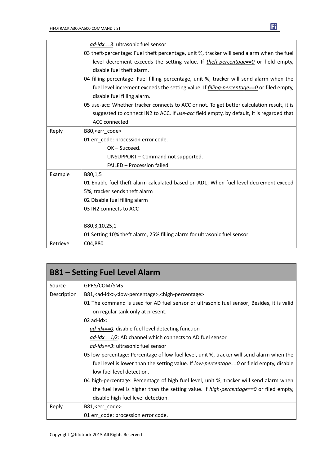|          | ad-idx==3: ultrasonic fuel sensor                                                               |
|----------|-------------------------------------------------------------------------------------------------|
|          | 03 theft-percentage: Fuel theft percentage, unit %, tracker will send alarm when the fuel       |
|          | level decrement exceeds the setting value. If theft-percentage==0 or field empty,               |
|          | disable fuel theft alarm.                                                                       |
|          | 04 filling-percentage: Fuel filling percentage, unit %, tracker will send alarm when the        |
|          | fuel level increment exceeds the setting value. If <i>filling-percentage==0</i> or filed empty, |
|          | disable fuel filling alarm.                                                                     |
|          | 05 use-acc: Whether tracker connects to ACC or not. To get better calculation result, it is     |
|          | suggested to connect IN2 to ACC. If use-acc field empty, by default, it is regarded that        |
|          | ACC connected.                                                                                  |
| Reply    | B80, <err code=""></err>                                                                        |
|          | 01 err code: procession error code.                                                             |
|          | $OK - Succeed.$                                                                                 |
|          | UNSUPPORT - Command not supported.                                                              |
|          | FAILED - Procession failed.                                                                     |
| Example  | B80,1,5                                                                                         |
|          | 01 Enable fuel theft alarm calculated based on AD1; When fuel level decrement exceed            |
|          | 5%, tracker sends theft alarm                                                                   |
|          | 02 Disable fuel filling alarm                                                                   |
|          | 03 IN2 connects to ACC                                                                          |
|          |                                                                                                 |
|          | B80,3,10,25,1                                                                                   |
|          | 01 Setting 10% theft alarm, 25% filling alarm for ultrasonic fuel sensor                        |
| Retrieve | C04,B80                                                                                         |

| <b>B81 – Setting Fuel Level Alarm</b> |                                                                                                 |
|---------------------------------------|-------------------------------------------------------------------------------------------------|
| Source                                | GPRS/COM/SMS                                                                                    |
| Description                           | B81, <ad-idx>,<low-percentage>,<high-percentage></high-percentage></low-percentage></ad-idx>    |
|                                       | 01 The command is used for AD fuel sensor or ultrasonic fuel sensor; Besides, it is valid       |
|                                       | on regular tank only at present.                                                                |
|                                       | $02$ ad-idx:                                                                                    |
|                                       | ad-idx==0, disable fuel level detecting function                                                |
|                                       | $\frac{ad - idx}{=} 1/2$ : AD channel which connects to AD fuel sensor                          |
|                                       | <i>ad-idx==3</i> : ultrasonic fuel sensor                                                       |
|                                       | 03 low-percentage: Percentage of low fuel level, unit %, tracker will send alarm when the       |
|                                       | fuel level is lower than the setting value. If <u>low-percentage==0</u> or field empty, disable |
|                                       | low fuel level detection.                                                                       |
|                                       | 04 high-percentage: Percentage of high fuel level, unit %, tracker will send alarm when         |
|                                       | the fuel level is higher than the setting value. If $high-percentage==0$ or filed empty,        |
|                                       | disable high fuel level detection.                                                              |
| Reply                                 | B81, <err_code></err_code>                                                                      |
|                                       | 01 err code: procession error code.                                                             |

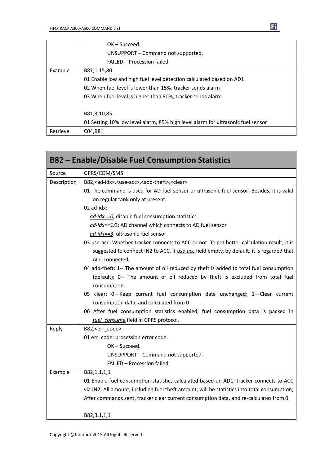|          | $OK - Succeed.$                                                                 |  |
|----------|---------------------------------------------------------------------------------|--|
|          | UNSUPPORT – Command not supported.                                              |  |
|          | FAILED - Procession failed.                                                     |  |
| Example  | B81,1,15,80                                                                     |  |
|          | 01 Enable low and high fuel level detection calculated based on AD1             |  |
|          | 02 When fuel level is lower than 15%, tracker sends alarm                       |  |
|          | 03 When fuel level is higher than 80%, tracker sends alarm                      |  |
|          | B81,3,10,85                                                                     |  |
|          | 01 Setting 10% low level alarm, 85% high level alarm for ultrasonic fuel sensor |  |
| Retrieve | C04,B81                                                                         |  |

|             | <b>B82 – Enable/Disable Fuel Consumption Statistics</b>                                      |  |
|-------------|----------------------------------------------------------------------------------------------|--|
| Source      | GPRS/COM/SMS                                                                                 |  |
| Description | B82, <ad-idx>, <use-acc>, <add-theft>, <clear></clear></add-theft></use-acc></ad-idx>        |  |
|             | 01 The command is used for AD fuel sensor or ultrasonic fuel sensor; Besides, it is valid    |  |
|             | on regular tank only at present.                                                             |  |
|             | 02 ad-idx:                                                                                   |  |
|             | ad-idx==0, disable fuel consumption statistics                                               |  |
|             | ad-idx==1/2: AD channel which connects to AD fuel sensor                                     |  |
|             | ad-idx==3: ultrasonic fuel sensor                                                            |  |
|             | 03 use-acc: Whether tracker connects to ACC or not. To get better calculation result, it is  |  |
|             | suggested to connect IN2 to ACC. If use-acc field empty, by default, it is regarded that     |  |
|             | ACC connected.                                                                               |  |
|             | 04 add-theft: 1-- The amount of oil reduced by theft is added to total fuel consumption      |  |
|             | (default); 0-- The amount of oil reduced by theft is excluded from total fuel                |  |
|             | consumption.                                                                                 |  |
|             | 05 clear: 0-Keep current fuel consumption data unchanged; 1-Clear current                    |  |
|             | consumption data, and calculated from 0                                                      |  |
|             | 06 After fuel consumption statistics enabled, fuel consumption data is packed in             |  |
|             | fuel consume field in GPRS protocol.                                                         |  |
| Reply       | B82, <err_code></err_code>                                                                   |  |
|             | 01 err_code: procession error code.                                                          |  |
|             | OK-Succeed.                                                                                  |  |
|             | UNSUPPORT - Command not supported.                                                           |  |
|             | FAILED - Procession failed.                                                                  |  |
| Example     | B82,1,1,1,1                                                                                  |  |
|             | 01 Enable fuel consumption statistics calculated based on AD1; tracker connects to ACC       |  |
|             | via IN2; All amount, including fuel theft amount, will be statistics into total consumption; |  |
|             | After commands sent, tracker clear current consumption data, and re-calculates from 0.       |  |
|             | B82,3,1,1,1                                                                                  |  |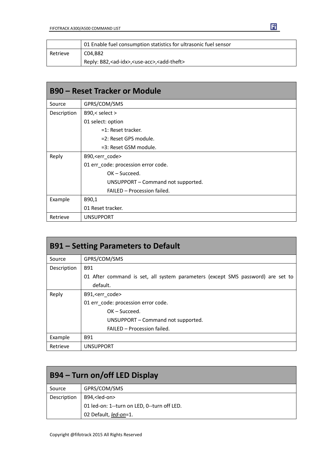|          | 01 Enable fuel consumption statistics for ultrasonic fuel sensor            |
|----------|-----------------------------------------------------------------------------|
| Retrieve | C04.B82                                                                     |
|          | Reply: B82, <ad-idx>, <use-acc>, <add-theft></add-theft></use-acc></ad-idx> |

| <b>B90 - Reset Tracker or Module</b> |                                     |  |
|--------------------------------------|-------------------------------------|--|
| Source                               | GPRS/COM/SMS                        |  |
| Description                          | B90,< select >                      |  |
|                                      | 01 select: option                   |  |
|                                      | =1: Reset tracker.                  |  |
|                                      | =2: Reset GPS module.               |  |
|                                      | =3: Reset GSM module.               |  |
| Reply                                | B90, <err_code></err_code>          |  |
|                                      | 01 err_code: procession error code. |  |
|                                      | OK-Succeed.                         |  |
|                                      | UNSUPPORT - Command not supported.  |  |
|                                      | FAILED - Procession failed.         |  |
| Example                              | B90,1                               |  |
|                                      | 01 Reset tracker.                   |  |
| Retrieve                             | <b>UNSUPPORT</b>                    |  |

| <b>B91 – Setting Parameters to Default</b> |                                                                                 |  |
|--------------------------------------------|---------------------------------------------------------------------------------|--|
| Source                                     | GPRS/COM/SMS                                                                    |  |
| Description                                | B91                                                                             |  |
|                                            | 01 After command is set, all system parameters (except SMS password) are set to |  |
|                                            | default.                                                                        |  |
| Reply                                      | B91, <err_code></err_code>                                                      |  |
|                                            | 01 err code: procession error code.                                             |  |
|                                            | $OK - Succeed.$                                                                 |  |
|                                            | UNSUPPORT - Command not supported.                                              |  |
|                                            | FAILED - Procession failed.                                                     |  |
| Example                                    | <b>B91</b>                                                                      |  |
| Retrieve                                   | <b>UNSUPPORT</b>                                                                |  |

| B94 – Turn on/off LED Display |                                             |
|-------------------------------|---------------------------------------------|
| Source                        | GPRS/COM/SMS                                |
| Description                   | B94, <led-on></led-on>                      |
|                               | 01 led-on: 1--turn on LED, 0--turn off LED. |
|                               | 02 Default, led-on=1.                       |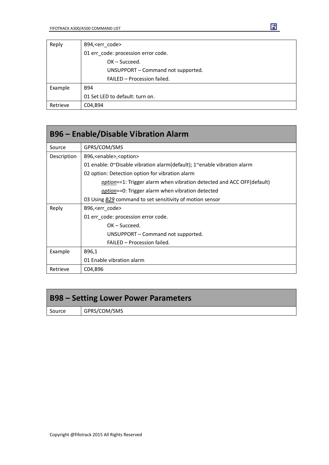| Reply    | B94, <err code=""></err>            |  |
|----------|-------------------------------------|--|
|          | 01 err_code: procession error code. |  |
|          | $OK - Succeed.$                     |  |
|          | UNSUPPORT - Command not supported.  |  |
|          | FAILED - Procession failed.         |  |
| Example  | B94                                 |  |
|          | 01 Set LED to default: turn on.     |  |
| Retrieve | C04, B94                            |  |

| <b>B96 – Enable/Disable Vibration Alarm</b> |                                                                         |  |
|---------------------------------------------|-------------------------------------------------------------------------|--|
| Source                                      | GPRS/COM/SMS                                                            |  |
| Description                                 | B96, <enable>,<option></option></enable>                                |  |
|                                             | 01 enable: 0~Disable vibration alarm(default); 1~enable vibration alarm |  |
|                                             | 02 option: Detection option for vibration alarm                         |  |
|                                             | option==1: Trigger alarm when vibration detected and ACC OFF(default)   |  |
|                                             | <i>option</i> ==0: Trigger alarm when vibration detected                |  |
|                                             | 03 Using <b>B29</b> command to set sensitivity of motion sensor         |  |
| Reply                                       | B96, <err code=""></err>                                                |  |
|                                             | 01 err_code: procession error code.                                     |  |
|                                             | $OK - Succeed.$                                                         |  |
|                                             | UNSUPPORT – Command not supported.                                      |  |
|                                             | FAILED - Procession failed.                                             |  |
| Example                                     | B96,1                                                                   |  |
|                                             | 01 Enable vibration alarm                                               |  |
| Retrieve                                    | C04,B96                                                                 |  |

# **B98 – Setting Lower Power Parameters**

Source | GPRS/COM/SMS

固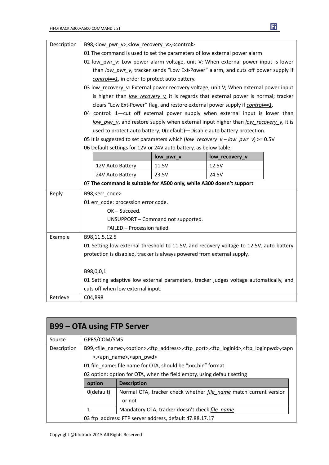| Description | B98, <low_pwr_v>,<low_recovery_v>,<control></control></low_recovery_v></low_pwr_v>    |           |                                                                                         |
|-------------|---------------------------------------------------------------------------------------|-----------|-----------------------------------------------------------------------------------------|
|             | 01 The command is used to set the parameters of low external power alarm              |           |                                                                                         |
|             | 02 low_pwr_v: Low power alarm voltage, unit V; When external power input is lower     |           |                                                                                         |
|             | than low pwr v, tracker sends "Low Ext-Power" alarm, and cuts off power supply if     |           |                                                                                         |
|             | control==1, in order to protect auto battery.                                         |           |                                                                                         |
|             | 03 low_recovery_v: External power recovery voltage, unit V; When external power input |           |                                                                                         |
|             | is higher than low recovery v it is regards that external power is normal; tracker    |           |                                                                                         |
|             |                                                                                       |           | clears "Low Ext-Power" flag, and restore external power supply if control==1.           |
|             |                                                                                       |           | 04 control: 1-cut off external power supply when external input is lower than           |
|             |                                                                                       |           | low pwr v, and restore supply when external input higher than low recovery v, it is     |
|             |                                                                                       |           | used to protect auto battery; 0(default)-Disable auto battery protection.               |
|             |                                                                                       |           | 05 It is suggested to set parameters which (low recovery $v - low$ pwr v) >= 0.5V       |
|             | 06 Default settings for 12V or 24V auto battery, as below table:                      |           |                                                                                         |
|             |                                                                                       | low_pwr_v | low_recovery_v                                                                          |
|             | 12V Auto Battery                                                                      | 11.5V     | 12.5V                                                                                   |
|             | 24V Auto Battery                                                                      | 23.5V     | 24.5V                                                                                   |
|             | 07 The command is suitable for A500 only, while A300 doesn't support                  |           |                                                                                         |
| Reply       | B98, <err_code></err_code>                                                            |           |                                                                                         |
|             | 01 err_code: procession error code.                                                   |           |                                                                                         |
|             | OK-Succeed.                                                                           |           |                                                                                         |
|             | UNSUPPORT - Command not supported.                                                    |           |                                                                                         |
|             | FAILED - Procession failed.                                                           |           |                                                                                         |
| Example     | B98,11.5,12.5                                                                         |           |                                                                                         |
|             |                                                                                       |           | 01 Setting low external threshold to 11.5V, and recovery voltage to 12.5V, auto battery |
|             | protection is disabled, tracker is always powered from external supply.               |           |                                                                                         |
|             | B98,0,0,1                                                                             |           |                                                                                         |
|             |                                                                                       |           | 01 Setting adaptive low external parameters, tracker judges voltage automatically, and  |
|             | cuts off when low external input.                                                     |           |                                                                                         |
| Retrieve    | C04,B98                                                                               |           |                                                                                         |

| <b>B99 – OTA using FTP Server</b> |                                                                                                                                                            |                                                                          |  |
|-----------------------------------|------------------------------------------------------------------------------------------------------------------------------------------------------------|--------------------------------------------------------------------------|--|
| Source                            | GPRS/COM/SMS                                                                                                                                               |                                                                          |  |
| Description                       | B99, <file name="">,<option>,<ftp address="">,<ftp port="">,<ftp loginid="">,<ftp loginpwd="">,<apn< td=""></apn<></ftp></ftp></ftp></ftp></option></file> |                                                                          |  |
|                                   | >, <apn name="">,<apn pwd=""></apn></apn>                                                                                                                  |                                                                          |  |
|                                   | 01 file name: file name for OTA, should be "xxx.bin" format                                                                                                |                                                                          |  |
|                                   | 02 option: option for OTA, when the field empty, using default setting                                                                                     |                                                                          |  |
|                                   | option<br><b>Description</b>                                                                                                                               |                                                                          |  |
|                                   | 0(default)                                                                                                                                                 | Normal OTA, tracker check whether <i>file name</i> match current version |  |
|                                   |                                                                                                                                                            | or not                                                                   |  |
|                                   |                                                                                                                                                            | Mandatory OTA, tracker doesn't check file name                           |  |
|                                   |                                                                                                                                                            | 03 ftp address: FTP server address, default 47.88.17.17                  |  |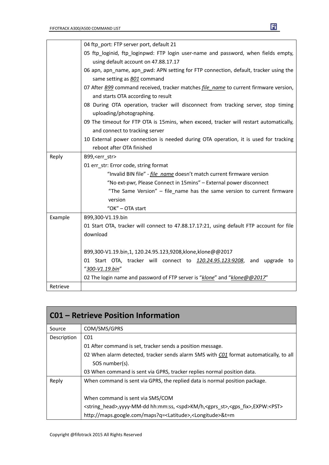

|          | 04 ftp_port: FTP server port, default 21                                                 |  |  |
|----------|------------------------------------------------------------------------------------------|--|--|
|          | 05 ftp_loginid, ftp_loginpwd: FTP login user-name and password, when fields empty,       |  |  |
|          | using default account on 47.88.17.17                                                     |  |  |
|          | 06 apn, apn_name, apn_pwd: APN setting for FTP connection, default, tracker using the    |  |  |
|          | same setting as <b>BO1</b> command                                                       |  |  |
|          | 07 After B99 command received, tracker matches file_name to current firmware version,    |  |  |
|          | and starts OTA according to result                                                       |  |  |
|          | 08 During OTA operation, tracker will disconnect from tracking server, stop timing       |  |  |
|          | uploading/photographing.                                                                 |  |  |
|          | 09 The timeout for FTP OTA is 15mins, when exceed, tracker will restart automatically,   |  |  |
|          | and connect to tracking server                                                           |  |  |
|          | 10 External power connection is needed during OTA operation, it is used for tracking     |  |  |
|          | reboot after OTA finished                                                                |  |  |
| Reply    | B99, <err_str></err_str>                                                                 |  |  |
|          | 01 err_str: Error code, string format                                                    |  |  |
|          | "Invalid BIN file" - <i>file name</i> doesn't match current firmware version             |  |  |
|          | "No ext-pwr, Please Connect in 15mins" - External power disconnect                       |  |  |
|          | "The Same Version" - file_name has the same version to current firmware                  |  |  |
|          | version                                                                                  |  |  |
|          | "OK" - OTA start                                                                         |  |  |
| Example  | B99,300-V1.19.bin                                                                        |  |  |
|          | 01 Start OTA, tracker will connect to 47.88.17.17:21, using default FTP account for file |  |  |
|          | download                                                                                 |  |  |
|          |                                                                                          |  |  |
|          | B99,300-V1.19.bin,1, 120.24.95.123,9208,klone,klone@@2017                                |  |  |
|          | 01 Start OTA, tracker will connect to 120.24.95.123:9208, and upgrade to                 |  |  |
|          | "300-V1.19.bin"                                                                          |  |  |
|          | 02 The login name and password of FTP server is "klone" and "klone@@2017"                |  |  |
| Retrieve |                                                                                          |  |  |

| <b>CO1 - Retrieve Position Information</b> |                                                                                                                            |  |
|--------------------------------------------|----------------------------------------------------------------------------------------------------------------------------|--|
| Source                                     | COM/SMS/GPRS                                                                                                               |  |
| Description                                | CO <sub>1</sub>                                                                                                            |  |
|                                            | 01 After command is set, tracker sends a position message.                                                                 |  |
|                                            | 02 When alarm detected, tracker sends alarm SMS with C01 format automatically, to all                                      |  |
|                                            | SOS number(s).                                                                                                             |  |
|                                            | 03 When command is sent via GPRS, tracker replies normal position data.                                                    |  |
| Reply                                      | When command is sent via GPRS, the replied data is normal position package.                                                |  |
|                                            | When command is sent via SMS/COM                                                                                           |  |
|                                            | <string head="">, yyyy-MM-dd hh:mm:ss, <spd>KM/h, <gprs st="">, <gps fix="">, EXPW:<pst></pst></gps></gprs></spd></string> |  |
|                                            | http://maps.google.com/maps?q= <latitude>,<longitude>&amp;t=m</longitude></latitude>                                       |  |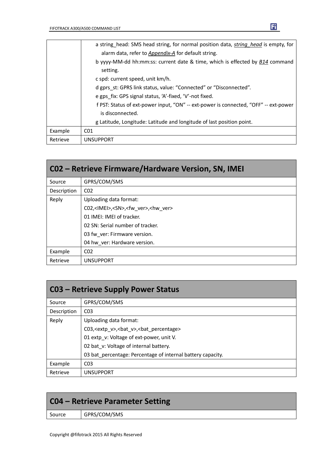|          | a string head: SMS head string, for normal position data, string head is empty, for<br>alarm data, refer to Appendix-A for default string. |
|----------|--------------------------------------------------------------------------------------------------------------------------------------------|
|          | b yyyy-MM-dd hh:mm:ss: current date & time, which is effected by B14 command<br>setting.                                                   |
|          | c spd: current speed, unit km/h.                                                                                                           |
|          | d gprs st: GPRS link status, value: "Connected" or "Disconnected".                                                                         |
|          | e gps fix: GPS signal status, 'A'-fixed, 'V'-not fixed.                                                                                    |
|          | f PST: Status of ext-power input, "ON" -- ext-power is connected, "OFF" -- ext-power                                                       |
|          | is disconnected.                                                                                                                           |
|          | g Latitude, Longitude: Latitude and longitude of last position point.                                                                      |
| Example  | CO <sub>1</sub>                                                                                                                            |
| Retrieve | <b>UNSUPPORT</b>                                                                                                                           |

| CO2 - Retrieve Firmware/Hardware Version, SN, IMEI |                                                                  |  |  |  |
|----------------------------------------------------|------------------------------------------------------------------|--|--|--|
| Source                                             | GPRS/COM/SMS                                                     |  |  |  |
| Description                                        | CO <sub>2</sub>                                                  |  |  |  |
| Reply                                              | Uploading data format:                                           |  |  |  |
|                                                    | C02, <imei>,<sn>,<fw_ver>,<hw_ver></hw_ver></fw_ver></sn></imei> |  |  |  |
|                                                    | 01 IMEI: IMEI of tracker.                                        |  |  |  |
|                                                    | 02 SN: Serial number of tracker.                                 |  |  |  |
|                                                    | 03 fw ver: Firmware version.                                     |  |  |  |
|                                                    | 04 hw ver: Hardware version.                                     |  |  |  |
| Example                                            | CO <sub>2</sub>                                                  |  |  |  |
| Retrieve                                           | <b>UNSUPPORT</b>                                                 |  |  |  |

| <b>C03 - Retrieve Supply Power Status</b> |                                                                  |  |
|-------------------------------------------|------------------------------------------------------------------|--|
| Source                                    | GPRS/COM/SMS                                                     |  |
| Description                               | CO <sub>3</sub>                                                  |  |
| Reply                                     | Uploading data format:                                           |  |
|                                           | C03, <extp v="">, <br/>bat v&gt;, <br/>bat percentage&gt;</extp> |  |
|                                           | 01 extp v: Voltage of ext-power, unit V.                         |  |
|                                           | 02 bat v: Voltage of internal battery.                           |  |
|                                           | 03 bat percentage: Percentage of internal battery capacity.      |  |
| Example                                   | C <sub>03</sub>                                                  |  |
| Retrieve                                  | <b>UNSUPPORT</b>                                                 |  |

| C04 – Retrieve Parameter Setting |              |  |
|----------------------------------|--------------|--|
| Source                           | GPRS/COM/SMS |  |
|                                  |              |  |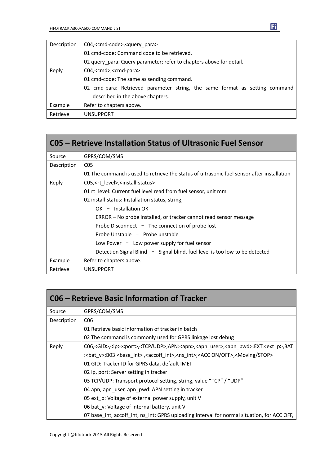| Description | C04, <cmd-code>,<query para=""></query></cmd-code>                          |  |  |
|-------------|-----------------------------------------------------------------------------|--|--|
|             | 01 cmd-code: Command code to be retrieved.                                  |  |  |
|             | 02 query_para: Query parameter; refer to chapters above for detail.         |  |  |
| Reply       | C04, <cmd>,<cmd-para></cmd-para></cmd>                                      |  |  |
|             | 01 cmd-code: The same as sending command.                                   |  |  |
|             | 02 cmd-para: Retrieved parameter string, the same format as setting command |  |  |
|             | described in the above chapters.                                            |  |  |
| Example     | Refer to chapters above.                                                    |  |  |
| Retrieve    | <b>UNSUPPORT</b>                                                            |  |  |

|             | C05 – Retrieve Installation Status of Ultrasonic Fuel Sensor                               |  |  |
|-------------|--------------------------------------------------------------------------------------------|--|--|
| Source      | GPRS/COM/SMS                                                                               |  |  |
| Description | CO <sub>5</sub>                                                                            |  |  |
|             | 01 The command is used to retrieve the status of ultrasonic fuel sensor after installation |  |  |
| Reply       | C05, <rt_level>,<install-status></install-status></rt_level>                               |  |  |
|             | 01 rt level: Current fuel level read from fuel sensor, unit mm                             |  |  |
|             | 02 install-status: Installation status, string,                                            |  |  |
|             | $OK -$ Installation OK                                                                     |  |  |
|             | ERROR - No probe installed, or tracker cannot read sensor message                          |  |  |
|             | Probe Disconnect $-$ The connection of probe lost                                          |  |  |
|             | Probe Unstable - Probe unstable                                                            |  |  |
|             | Low Power - Low power supply for fuel sensor                                               |  |  |
|             | Detection Signal Blind $\sim$ Signal blind, fuel level is too low to be detected           |  |  |
| Example     | Refer to chapters above.                                                                   |  |  |
| Retrieve    | <b>UNSUPPORT</b>                                                                           |  |  |

| C06 – Retrieve Basic Information of Tracker |                                                                                                                                               |  |
|---------------------------------------------|-----------------------------------------------------------------------------------------------------------------------------------------------|--|
| Source                                      | GPRS/COM/SMS                                                                                                                                  |  |
| Description                                 | C <sub>06</sub>                                                                                                                               |  |
|                                             | 01 Retrieve basic information of tracker in batch                                                                                             |  |
|                                             | 02 The command is commonly used for GPRS linkage lost debug                                                                                   |  |
| Reply                                       | C06, <gid>,<ip>:<port>,<tcp udp="">;APN:<apn>,<apn_user>,<apn_pwd>;EXT:<ext_p>,BAT</ext_p></apn_pwd></apn_user></apn></tcp></port></ip></gid> |  |
|                                             | : <bat v="">;B03:<base int=""/>,<accoff int="">,<ns int="">;<acc off="" on="">,<moving stop=""></moving></acc></ns></accoff></bat>            |  |
|                                             | 01 GID: Tracker ID for GPRS data, default IMEI                                                                                                |  |
|                                             | 02 ip, port: Server setting in tracker                                                                                                        |  |
|                                             | 03 TCP/UDP: Transport protocol setting, string, value "TCP" / "UDP"                                                                           |  |
|                                             | 04 apn, apn user, apn pwd: APN setting in tracker                                                                                             |  |
|                                             | 05 ext_p: Voltage of external power supply, unit V                                                                                            |  |
|                                             | 06 bat v: Voltage of internal battery, unit V                                                                                                 |  |
|                                             | 07 base int, accoff int, ns int: GPRS uploading interval for normal situation, for ACC OFF,                                                   |  |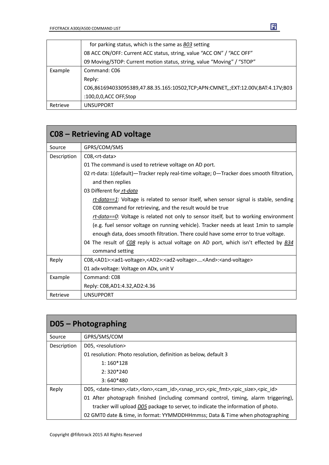|          | for parking status, which is the same as B03 setting                            |  |  |  |
|----------|---------------------------------------------------------------------------------|--|--|--|
|          | 08 ACC ON/OFF: Current ACC status, string, value "ACC ON" / "ACC OFF"           |  |  |  |
|          | 09 Moving/STOP: Current motion status, string, value "Moving" / "STOP"          |  |  |  |
| Example  | Command: C06                                                                    |  |  |  |
|          | Reply:                                                                          |  |  |  |
|          | C06,861694033095389,47.88.35.165:10502,TCP;APN:CMNET,,;EXT:12.00V,BAT:4.17V;B03 |  |  |  |
|          | :100,0,0,ACC OFF,Stop                                                           |  |  |  |
| Retrieve | <b>UNSUPPORT</b>                                                                |  |  |  |

| C08 – Retrieving AD voltage |                                                                                                                             |  |
|-----------------------------|-----------------------------------------------------------------------------------------------------------------------------|--|
| Source                      | GPRS/COM/SMS                                                                                                                |  |
| Description                 | C08, <rt-data></rt-data>                                                                                                    |  |
|                             | 01 The command is used to retrieve voltage on AD port.                                                                      |  |
|                             | 02 rt-data: 1(default)—Tracker reply real-time voltage; 0—Tracker does smooth filtration,                                   |  |
|                             | and then replies                                                                                                            |  |
|                             | 03 Different for rt-data                                                                                                    |  |
|                             | rt-data==1: Voltage is related to sensor itself, when sensor signal is stable, sending                                      |  |
|                             | C08 command for retrieving, and the result would be true                                                                    |  |
|                             | rt-data== $Q$ : Voltage is related not only to sensor itself, but to working environment                                    |  |
|                             | (e.g. fuel sensor voltage on running vehicle). Tracker needs at least 1min to sample                                        |  |
|                             | enough data, does smooth filtration. There could have some error to true voltage.                                           |  |
|                             | 04 The result of CO8 reply is actual voltage on AD port, which isn't effected by <b>B34</b>                                 |  |
|                             | command setting                                                                                                             |  |
| Reply                       | C08, <ad1>:<ad1-voltage>,<ad2>:<ad2-voltage><and>:<and-voltage></and-voltage></and></ad2-voltage></ad2></ad1-voltage></ad1> |  |
|                             | 01 adx-voltage: Voltage on ADx, unit V                                                                                      |  |
| Example                     | Command: C08                                                                                                                |  |
|                             | Reply: C08, AD1: 4.32, AD2: 4.36                                                                                            |  |
| Retrieve                    | <b>UNSUPPORT</b>                                                                                                            |  |

| $D05 - Photographic$ |                                                                                                                                                      |  |  |  |
|----------------------|------------------------------------------------------------------------------------------------------------------------------------------------------|--|--|--|
| Source               | GPRS/SMS/COM                                                                                                                                         |  |  |  |
| Description          | D05, <resolution></resolution>                                                                                                                       |  |  |  |
|                      | 01 resolution: Photo resolution, definition as below, default 3                                                                                      |  |  |  |
|                      | $1:160*128$                                                                                                                                          |  |  |  |
|                      | $2:320*240$                                                                                                                                          |  |  |  |
|                      | $3:640*480$                                                                                                                                          |  |  |  |
| Reply                | D05, <date-time>,<lat>,<lon>,<cam id="">,<snap src="">,<pic fmt="">,<pic size="">,<pic id=""></pic></pic></pic></snap></cam></lon></lat></date-time> |  |  |  |
|                      | 01 After photograph finished (including command control, timing, alarm triggering),                                                                  |  |  |  |
|                      | tracker will upload D05 package to server, to indicate the information of photo.                                                                     |  |  |  |
|                      | 02 GMT0 date & time, in format: YYMMDDHHmmss; Data & Time when photographing                                                                         |  |  |  |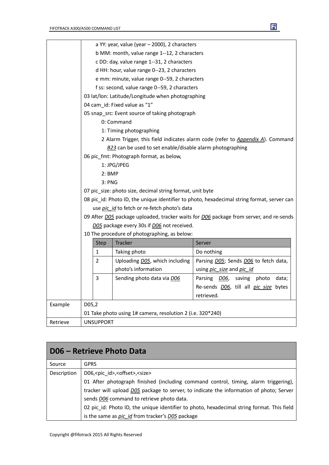|          | a YY: year, value (year - 2000), 2 characters                                              |                                              |                                                            |                                       |
|----------|--------------------------------------------------------------------------------------------|----------------------------------------------|------------------------------------------------------------|---------------------------------------|
|          |                                                                                            |                                              | b MM: month, value range 1--12, 2 characters               |                                       |
|          | c DD: day, value range 1--31, 2 characters                                                 |                                              |                                                            |                                       |
|          | d HH: hour, value range 0--23, 2 characters                                                |                                              |                                                            |                                       |
|          | e mm: minute, value range 0--59, 2 characters                                              |                                              |                                                            |                                       |
|          | f ss: second, value range 0--59, 2 characters                                              |                                              |                                                            |                                       |
|          | 03 lat/lon: Latitude/Longitude when photographing                                          |                                              |                                                            |                                       |
|          | 04 cam_id: Fixed value as "1"                                                              |                                              |                                                            |                                       |
|          | 05 snap_src: Event source of taking photograph                                             |                                              |                                                            |                                       |
|          | 0: Command                                                                                 |                                              |                                                            |                                       |
|          |                                                                                            |                                              | 1: Timing photographing                                    |                                       |
|          | 2 Alarm Trigger, this field indicates alarm code (refer to Appendix A). Command            |                                              |                                                            |                                       |
|          |                                                                                            |                                              | B23 can be used to set enable/disable alarm photographing  |                                       |
|          |                                                                                            |                                              | 06 pic_fmt: Photograph format, as below,                   |                                       |
|          |                                                                                            |                                              | 1: JPG/JPEG                                                |                                       |
|          | $2:$ BMP                                                                                   |                                              |                                                            |                                       |
|          | 3: PNG                                                                                     |                                              |                                                            |                                       |
|          | 07 pic_size: photo size, decimal string format, unit byte                                  |                                              |                                                            |                                       |
|          | 08 pic_id: Photo ID, the unique identifier to photo, hexadecimal string format, server can |                                              |                                                            |                                       |
|          | use pic id to fetch or re-fetch photo's data                                               |                                              |                                                            |                                       |
|          | 09 After DO5 package uploaded, tracker waits for DO6 package from server, and re-sends     |                                              |                                                            |                                       |
|          |                                                                                            | D05 package every 30s if D06 not received.   |                                                            |                                       |
|          |                                                                                            | 10 The procedure of photographing, as below: |                                                            |                                       |
|          |                                                                                            | Step                                         | Tracker                                                    | Server                                |
|          |                                                                                            | 1                                            | Taking photo                                               | Do nothing                            |
|          |                                                                                            | 2                                            | Uploading D05, which including                             | Parsing D05; Sends D06 to fetch data, |
|          |                                                                                            |                                              | photo's information                                        | using pic size and pic id             |
|          |                                                                                            | 3                                            | Sending photo data via DO6                                 | Parsing DO6,<br>saving photo<br>data; |
|          |                                                                                            |                                              |                                                            | Re-sends DO6, till all pic size bytes |
|          |                                                                                            |                                              |                                                            | retrieved.                            |
| Example  | D05,2                                                                                      |                                              |                                                            |                                       |
|          |                                                                                            |                                              | 01 Take photo using 1# camera, resolution 2 (i.e. 320*240) |                                       |
| Retrieve | <b>UNSUPPORT</b>                                                                           |                                              |                                                            |                                       |

| <b>D06 - Retrieve Photo Data</b> |                                                                                            |  |  |
|----------------------------------|--------------------------------------------------------------------------------------------|--|--|
| Source                           | <b>GPRS</b>                                                                                |  |  |
| Description                      | D06, <pic id="">, <offset>, <size></size></offset></pic>                                   |  |  |
|                                  | 01 After photograph finished (including command control, timing, alarm triggering),        |  |  |
|                                  | tracker will upload D05 package to server, to indicate the information of photo; Server    |  |  |
|                                  | sends D06 command to retrieve photo data.                                                  |  |  |
|                                  | 02 pic_id: Photo ID, the unique identifier to photo, hexadecimal string format. This field |  |  |
|                                  | is the same as pic id from tracker's D05 package                                           |  |  |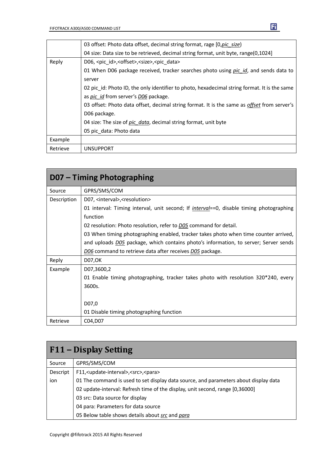|          | 03 offset: Photo data offset, decimal string format, rage [0,pic size]                       |  |  |  |
|----------|----------------------------------------------------------------------------------------------|--|--|--|
|          | 04 size: Data size to be retrieved, decimal string format, unit byte, range(0,1024)          |  |  |  |
| Reply    | D06, <pic id="">,<offset>,<size>,<pic data=""></pic></size></offset></pic>                   |  |  |  |
|          | 01 When D06 package received, tracker searches photo using pic id, and sends data to         |  |  |  |
|          | server                                                                                       |  |  |  |
|          | 02 pic id: Photo ID, the only identifier to photo, hexadecimal string format. It is the same |  |  |  |
|          | as pic id from server's D06 package.                                                         |  |  |  |
|          | 03 offset: Photo data offset, decimal string format. It is the same as offset from server's  |  |  |  |
|          | D06 package.                                                                                 |  |  |  |
|          | 04 size: The size of pic data, decimal string format, unit byte                              |  |  |  |
|          | 05 pic_data: Photo data                                                                      |  |  |  |
| Example  |                                                                                              |  |  |  |
| Retrieve | <b>UNSUPPORT</b>                                                                             |  |  |  |

| D07 – Timing Photographing |                                                                                                 |  |  |  |
|----------------------------|-------------------------------------------------------------------------------------------------|--|--|--|
| Source                     | GPRS/SMS/COM                                                                                    |  |  |  |
| Description                | D07, <interval>, <resolution></resolution></interval>                                           |  |  |  |
|                            | 01 interval: Timing interval, unit second; If <i>interval</i> ==0, disable timing photographing |  |  |  |
|                            | function                                                                                        |  |  |  |
|                            | 02 resolution: Photo resolution, refer to <b>D05</b> command for detail.                        |  |  |  |
|                            | 03 When timing photographing enabled, tracker takes photo when time counter arrived,            |  |  |  |
|                            | and uploads <b>DO5</b> package, which contains photo's information, to server; Server sends     |  |  |  |
|                            | D06 command to retrieve data after receives D05 package.                                        |  |  |  |
| Reply                      | D07, OK                                                                                         |  |  |  |
| Example                    | D07,3600,2                                                                                      |  |  |  |
|                            | 01 Enable timing photographing, tracker takes photo with resolution 320*240, every              |  |  |  |
|                            | 3600s.                                                                                          |  |  |  |
|                            |                                                                                                 |  |  |  |
|                            | D07,0                                                                                           |  |  |  |
|                            | 01 Disable timing photographing function                                                        |  |  |  |
| Retrieve                   | C04, D07                                                                                        |  |  |  |

| F11 – Display Setting |                                                                                      |  |  |  |
|-----------------------|--------------------------------------------------------------------------------------|--|--|--|
| Source                | GPRS/SMS/COM                                                                         |  |  |  |
| Descript              | F11, <update-interval>, <src>, <para></para></src></update-interval>                 |  |  |  |
| ion                   | 01 The command is used to set display data source, and parameters about display data |  |  |  |
|                       | 02 update-interval: Refresh time of the display, unit second, range [0,36000]        |  |  |  |
|                       | 03 src: Data source for display                                                      |  |  |  |
|                       | 04 para: Parameters for data source                                                  |  |  |  |
|                       | 05 Below table shows details about src and para                                      |  |  |  |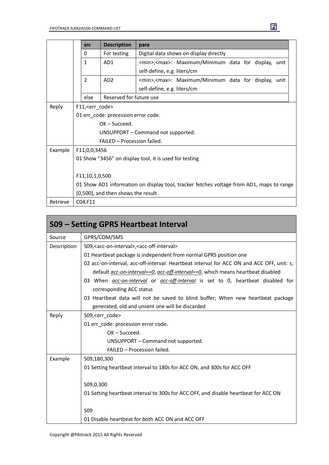|          |                                                                                          | <b>src</b>     | <b>Description</b>      | para                                                                |
|----------|------------------------------------------------------------------------------------------|----------------|-------------------------|---------------------------------------------------------------------|
|          | Digital data shows on display directly<br>For testing<br>0                               |                |                         |                                                                     |
|          |                                                                                          | $\mathbf{1}$   | AD1                     | <min>,<max>: Maximum/Minimum data for display,<br/>unit</max></min> |
|          |                                                                                          |                |                         | self-define, e.g. liters/cm                                         |
|          |                                                                                          | $\overline{2}$ | AD <sub>2</sub>         | <min>,<max>: Maximum/Minimum data for display,<br/>unit</max></min> |
|          |                                                                                          |                |                         | self-define, e.g. liters/cm                                         |
|          |                                                                                          | else           | Reserved for future use |                                                                     |
| Reply    | F11, <err_code></err_code>                                                               |                |                         |                                                                     |
|          | 01 err code: procession error code.                                                      |                |                         |                                                                     |
|          | $OK - Succed.$                                                                           |                |                         |                                                                     |
|          | UNSUPPORT – Command not supported.                                                       |                |                         |                                                                     |
|          | FAILED - Procession failed.                                                              |                |                         |                                                                     |
| Example  | F11,0,0,3456                                                                             |                |                         |                                                                     |
|          | 01 Show "3456" on display tool, it is used for testing                                   |                |                         |                                                                     |
|          |                                                                                          |                |                         |                                                                     |
|          | F11,10,1,0,500                                                                           |                |                         |                                                                     |
|          | 01 Show AD1 information on display tool, tracker fetches voltage from AD1, maps to range |                |                         |                                                                     |
|          | [0,500], and then shows the result                                                       |                |                         |                                                                     |
| Retrieve |                                                                                          | C04,F11        |                         |                                                                     |

| S09 – Setting GPRS Heartbeat Interval           |                                                                                               |  |  |  |
|-------------------------------------------------|-----------------------------------------------------------------------------------------------|--|--|--|
| Source                                          | GPRS/COM/SMS                                                                                  |  |  |  |
| Description                                     | S09, <acc-on-interval>, <acc-off-interval></acc-off-interval></acc-on-interval>               |  |  |  |
|                                                 | 01 Heartbeat package is independent from normal GPRS position one                             |  |  |  |
|                                                 | 02 acc-on-interval, acc-off-interval: Heartbeat interval for ACC ON and ACC OFF, unit: s;     |  |  |  |
|                                                 | default <i>acc-on-interval==0, acc-off-interval==0,</i> which means heartbeat disabled        |  |  |  |
|                                                 | 03 When <i>acc-on-interval</i> or <i>acc-off-interval</i> is set to 0, heartbeat disabled for |  |  |  |
|                                                 | corresponding ACC status                                                                      |  |  |  |
|                                                 | 03 Heartbeat data will not be saved to blind buffer; When new heartbeat package               |  |  |  |
| generated, old and unsent one will be discarded |                                                                                               |  |  |  |
| Reply                                           | S09, <err code=""></err>                                                                      |  |  |  |
|                                                 | 01 err code: procession error code.                                                           |  |  |  |
|                                                 | $OK - Succeed.$                                                                               |  |  |  |
|                                                 | UNSUPPORT - Command not supported.                                                            |  |  |  |
|                                                 | FAILED - Procession failed.                                                                   |  |  |  |
| Example                                         | S09,180,300                                                                                   |  |  |  |
|                                                 | 01 Setting heartbeat interval to 180s for ACC ON, and 300s for ACC OFF                        |  |  |  |
|                                                 | S09,0,300                                                                                     |  |  |  |
|                                                 | 01 Setting heartbeat interval to 300s for ACC OFF, and disable heartbeat for ACC ON           |  |  |  |
|                                                 | S <sub>09</sub>                                                                               |  |  |  |
|                                                 | 01 Disable heartbeat for both ACC ON and ACC OFF                                              |  |  |  |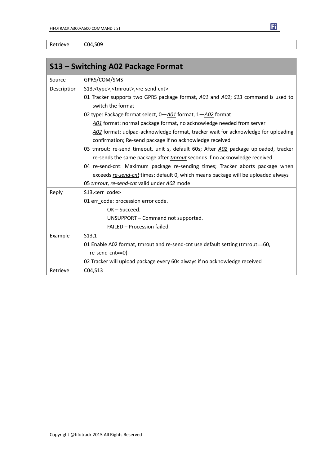Retrieve | C04,S09

| S13 – Switching A02 Package Format |                                                                                      |  |  |  |
|------------------------------------|--------------------------------------------------------------------------------------|--|--|--|
| Source                             | GPRS/COM/SMS                                                                         |  |  |  |
| Description                        | S13, <type>,<tmrout>,<re-send-cnt></re-send-cnt></tmrout></type>                     |  |  |  |
|                                    | 01 Tracker supports two GPRS package format, A01 and A02; S13 command is used to     |  |  |  |
|                                    | switch the format                                                                    |  |  |  |
|                                    | 02 type: Package format select, 0-A01 format, 1-A02 format                           |  |  |  |
|                                    | A01 format: normal package format, no acknowledge needed from server                 |  |  |  |
|                                    | A02 format: uolpad-acknowledge format, tracker wait for acknowledge for uploading    |  |  |  |
|                                    | confirmation; Re-send package if no acknowledge received                             |  |  |  |
|                                    | 03 tmrout: re-send timeout, unit s, default 60s; After A02 package uploaded, tracker |  |  |  |
|                                    | re-sends the same package after <i>tmrout</i> seconds if no acknowledge received     |  |  |  |
|                                    | 04 re-send-cnt: Maximum package re-sending times; Tracker aborts package when        |  |  |  |
|                                    | exceeds re-send-cnt times; default 0, which means package will be uploaded always    |  |  |  |
|                                    | 05 tmrout, re-send-cnt valid under A02 mode                                          |  |  |  |
| Reply                              | S13, <err code=""></err>                                                             |  |  |  |
|                                    | 01 err_code: procession error code.                                                  |  |  |  |
|                                    | $OK - Succeed.$                                                                      |  |  |  |
|                                    | UNSUPPORT - Command not supported.                                                   |  |  |  |
|                                    | FAILED - Procession failed.                                                          |  |  |  |
| Example                            | S13,1                                                                                |  |  |  |
|                                    | 01 Enable A02 format, tmrout and re-send-cnt use default setting (tmrout==60,        |  |  |  |
|                                    | re-send-cnt==0)                                                                      |  |  |  |
|                                    | 02 Tracker will upload package every 60s always if no acknowledge received           |  |  |  |
| Retrieve                           | C04, S13                                                                             |  |  |  |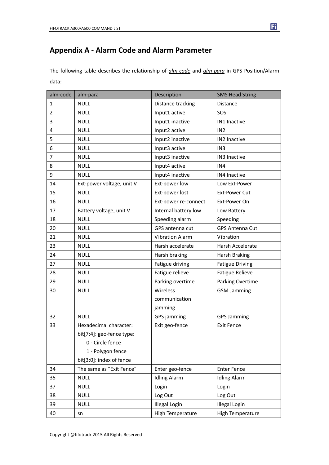#### **Appendix A - Alarm Code and Alarm Parameter**

The following table describes the relationship of *alm-code* and *alm-para* in GPS Position/Alarm data:

| alm-code       | alm-para<br>Description   |                        | <b>SMS Head String</b> |
|----------------|---------------------------|------------------------|------------------------|
| 1              | <b>NULL</b>               | Distance tracking      | Distance               |
| $\overline{2}$ | <b>NULL</b>               | Input1 active          | SOS                    |
| 3              | <b>NULL</b>               | Input1 inactive        | IN1 Inactive           |
| 4              | <b>NULL</b>               | Input2 active          | IN <sub>2</sub>        |
| 5              | <b>NULL</b>               | Input2 inactive        | IN2 Inactive           |
| 6              | <b>NULL</b>               | Input3 active          | IN3                    |
| $\overline{7}$ | <b>NULL</b>               | Input3 inactive        | IN3 Inactive           |
| 8              | <b>NULL</b>               | Input4 active          | IN4                    |
| 9              | <b>NULL</b>               | Input4 inactive        | IN4 Inactive           |
| 14             | Ext-power voltage, unit V | Ext-power low          | Low Ext-Power          |
| 15             | <b>NULL</b>               | Ext-power lost         | <b>Ext-Power Cut</b>   |
| 16             | <b>NULL</b>               | Ext-power re-connect   | Ext-Power On           |
| 17             | Battery voltage, unit V   | Internal battery low   | Low Battery            |
| 18             | <b>NULL</b>               | Speeding alarm         | Speeding               |
| 20             | <b>NULL</b>               | GPS antenna cut        | <b>GPS Antenna Cut</b> |
| 21             | <b>NULL</b>               | <b>Vibration Alarm</b> | Vibration              |
| 23             | <b>NULL</b>               | Harsh accelerate       | Harsh Accelerate       |
| 24             | <b>NULL</b>               | Harsh braking          | <b>Harsh Braking</b>   |
| 27             | <b>NULL</b>               | Fatigue driving        | <b>Fatigue Driving</b> |
| 28             | <b>NULL</b>               | Fatigue relieve        | <b>Fatigue Relieve</b> |
| 29             | <b>NULL</b>               | Parking overtime       | Parking Overtime       |
| 30             | <b>NULL</b>               | Wireless               | <b>GSM Jamming</b>     |
|                |                           | communication          |                        |
|                |                           | jamming                |                        |
| 32             | <b>NULL</b>               | GPS jamming            | <b>GPS Jamming</b>     |
| 33             | Hexadecimal character:    | Exit geo-fence         | <b>Exit Fence</b>      |
|                | bit[7:4]: geo-fence type: |                        |                        |
|                | 0 - Circle fence          |                        |                        |
|                | 1 - Polygon fence         |                        |                        |
|                | bit[3:0]: index of fence  |                        |                        |
| 34             | The same as "Exit Fence"  | Enter geo-fence        | <b>Enter Fence</b>     |
| 35             | <b>NULL</b>               | <b>Idling Alarm</b>    | <b>Idling Alarm</b>    |
| 37             | <b>NULL</b>               | Login                  | Login                  |
| 38             | <b>NULL</b>               | Log Out                | Log Out                |
| 39             | <b>NULL</b>               | <b>Illegal Login</b>   | <b>Illegal Login</b>   |
| 40             | sn                        | High Temperature       | High Temperature       |